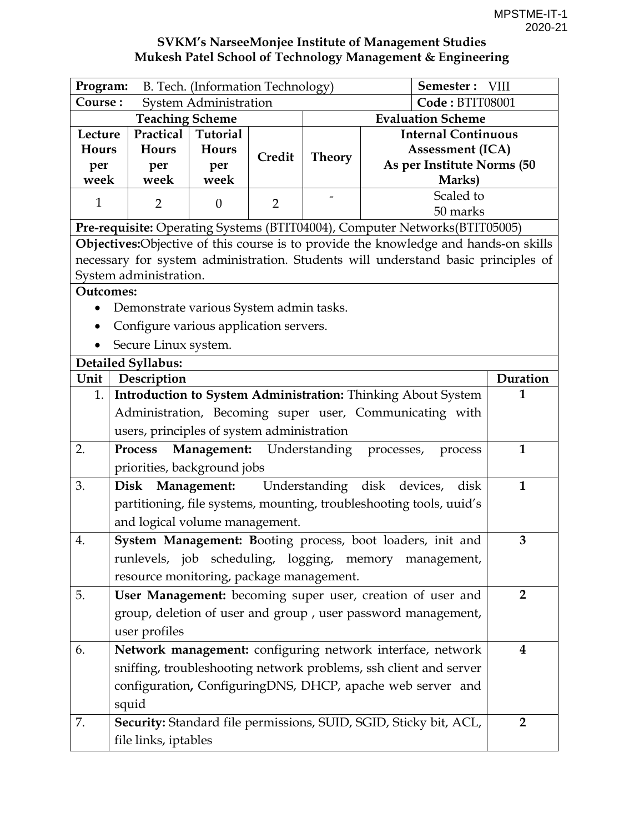| Program:                                 | Semester: VIII<br>B. Tech. (Information Technology)             |                              |                |                             |                            |                                                                                      |                |  |  |
|------------------------------------------|-----------------------------------------------------------------|------------------------------|----------------|-----------------------------|----------------------------|--------------------------------------------------------------------------------------|----------------|--|--|
| Course:                                  |                                                                 | <b>System Administration</b> |                |                             |                            | Code: BTIT08001                                                                      |                |  |  |
|                                          | <b>Teaching Scheme</b>                                          |                              |                |                             |                            | <b>Evaluation Scheme</b>                                                             |                |  |  |
| Lecture                                  | Practical                                                       | Tutorial                     |                |                             | <b>Internal Continuous</b> |                                                                                      |                |  |  |
| Hours                                    | <b>Hours</b>                                                    | Hours                        | Credit         | <b>Theory</b>               |                            | <b>Assessment (ICA)</b>                                                              |                |  |  |
| per                                      | per                                                             | per                          |                |                             | As per Institute Norms (50 |                                                                                      |                |  |  |
| week                                     | week                                                            | week                         |                | Marks)<br>Scaled to         |                            |                                                                                      |                |  |  |
| $\mathbf{1}$                             | $\overline{2}$                                                  | $\boldsymbol{0}$             | $\overline{2}$ | 50 marks                    |                            |                                                                                      |                |  |  |
|                                          |                                                                 |                              |                |                             |                            | Pre-requisite: Operating Systems (BTIT04004), Computer Networks(BTIT05005)           |                |  |  |
|                                          |                                                                 |                              |                |                             |                            | Objectives: Objective of this course is to provide the knowledge and hands-on skills |                |  |  |
|                                          |                                                                 |                              |                |                             |                            | necessary for system administration. Students will understand basic principles of    |                |  |  |
|                                          | System administration.                                          |                              |                |                             |                            |                                                                                      |                |  |  |
| <b>Outcomes:</b>                         |                                                                 |                              |                |                             |                            |                                                                                      |                |  |  |
|                                          | Demonstrate various System admin tasks.                         |                              |                |                             |                            |                                                                                      |                |  |  |
|                                          | Configure various application servers.                          |                              |                |                             |                            |                                                                                      |                |  |  |
|                                          | Secure Linux system.                                            |                              |                |                             |                            |                                                                                      |                |  |  |
|                                          | <b>Detailed Syllabus:</b>                                       |                              |                |                             |                            |                                                                                      |                |  |  |
| Unit                                     | Description                                                     |                              |                |                             |                            |                                                                                      | Duration       |  |  |
| 1.                                       |                                                                 |                              |                |                             |                            | Introduction to System Administration: Thinking About System                         | 1              |  |  |
|                                          |                                                                 |                              |                |                             |                            | Administration, Becoming super user, Communicating with                              |                |  |  |
|                                          | users, principles of system administration                      |                              |                |                             |                            |                                                                                      |                |  |  |
| 2.                                       | <b>Process</b>                                                  | Management: Understanding    |                |                             | processes,                 | process                                                                              | $\mathbf{1}$   |  |  |
|                                          | priorities, background jobs                                     |                              |                |                             |                            |                                                                                      |                |  |  |
| 3.                                       | Disk Management:                                                |                              |                | Understanding disk devices, |                            | disk                                                                                 | $\mathbf{1}$   |  |  |
|                                          |                                                                 |                              |                |                             |                            | partitioning, file systems, mounting, troubleshooting tools, uuid's                  |                |  |  |
|                                          | and logical volume management.                                  |                              |                |                             |                            |                                                                                      |                |  |  |
| 4.                                       | 3<br>System Management: Booting process, boot loaders, init and |                              |                |                             |                            |                                                                                      |                |  |  |
|                                          | runlevels, job scheduling, logging, memory management,          |                              |                |                             |                            |                                                                                      |                |  |  |
| resource monitoring, package management. |                                                                 |                              |                |                             |                            |                                                                                      |                |  |  |
| 5.                                       |                                                                 |                              |                |                             |                            | User Management: becoming super user, creation of user and                           | $\overline{2}$ |  |  |
|                                          | group, deletion of user and group, user password management,    |                              |                |                             |                            |                                                                                      |                |  |  |
|                                          | user profiles                                                   |                              |                |                             |                            |                                                                                      |                |  |  |
| 6.                                       |                                                                 |                              |                |                             |                            | Network management: configuring network interface, network                           | $\bf{4}$       |  |  |
|                                          |                                                                 |                              |                |                             |                            | sniffing, troubleshooting network problems, ssh client and server                    |                |  |  |
|                                          |                                                                 |                              |                |                             |                            | configuration, ConfiguringDNS, DHCP, apache web server and                           |                |  |  |
|                                          | squid                                                           |                              |                |                             |                            |                                                                                      |                |  |  |
| 7.                                       |                                                                 |                              |                |                             |                            | Security: Standard file permissions, SUID, SGID, Sticky bit, ACL,                    | $\overline{2}$ |  |  |
|                                          | file links, iptables                                            |                              |                |                             |                            |                                                                                      |                |  |  |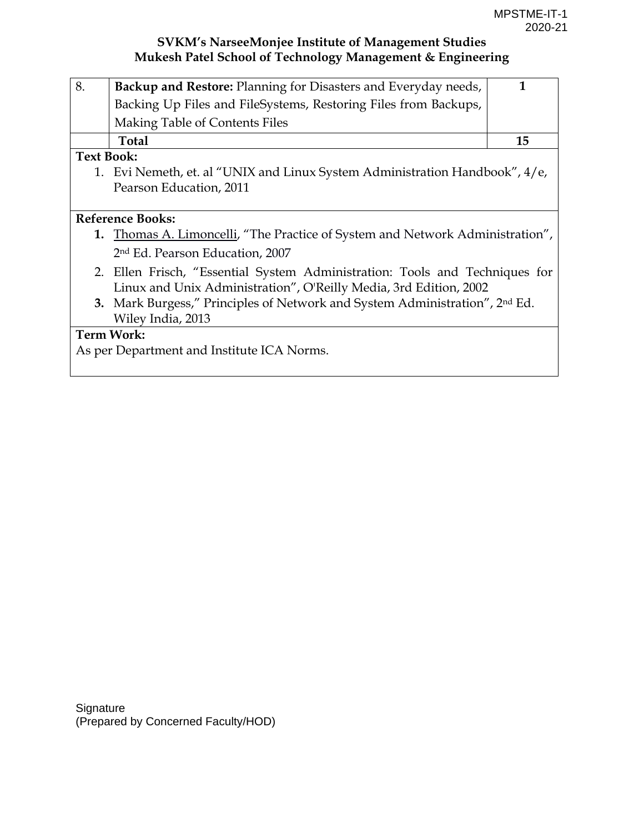| 8.                | Backup and Restore: Planning for Disasters and Everyday needs,                          | 1  |
|-------------------|-----------------------------------------------------------------------------------------|----|
|                   | Backing Up Files and FileSystems, Restoring Files from Backups,                         |    |
|                   | Making Table of Contents Files                                                          |    |
|                   | Total                                                                                   | 15 |
| <b>Text Book:</b> |                                                                                         |    |
|                   | 1. Evi Nemeth, et. al "UNIX and Linux System Administration Handbook", 4/e,             |    |
|                   | Pearson Education, 2011                                                                 |    |
|                   |                                                                                         |    |
|                   | <b>Reference Books:</b>                                                                 |    |
|                   | 1. Thomas A. Limoncelli, "The Practice of System and Network Administration",           |    |
|                   | 2 <sup>nd</sup> Ed. Pearson Education, 2007                                             |    |
|                   | 2. Ellen Frisch, "Essential System Administration: Tools and Techniques for             |    |
|                   | Linux and Unix Administration", O'Reilly Media, 3rd Edition, 2002                       |    |
|                   | 3. Mark Burgess," Principles of Network and System Administration", 2 <sup>nd</sup> Ed. |    |
|                   | Wiley India, 2013                                                                       |    |
|                   | <b>Term Work:</b>                                                                       |    |
|                   | As per Department and Institute ICA Norms.                                              |    |
|                   |                                                                                         |    |
|                   |                                                                                         |    |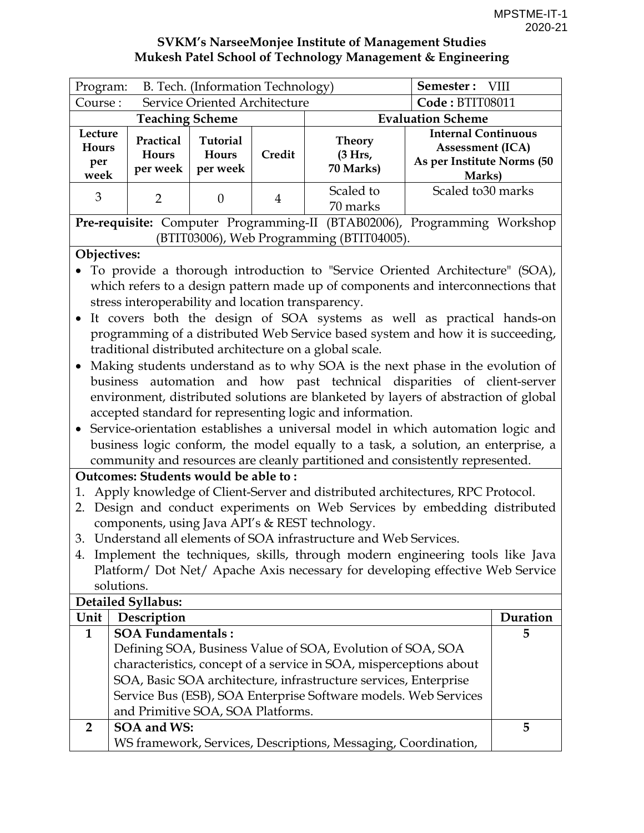| Service Oriented Architecture<br>Code: BTIT08011<br>Course:<br><b>Evaluation Scheme</b><br><b>Teaching Scheme</b><br><b>Internal Continuous</b><br>Lecture<br>Practical<br><b>Tutorial</b><br><b>Theory</b><br>Hours<br><b>Assessment (ICA)</b><br>(3 Hrs,<br>Credit<br><b>Hours</b><br>Hours<br>per<br>70 Marks)<br>per week<br>per week | Program: | B. Tech. (Information Technology) | Semester: VIII |  |                                      |
|-------------------------------------------------------------------------------------------------------------------------------------------------------------------------------------------------------------------------------------------------------------------------------------------------------------------------------------------|----------|-----------------------------------|----------------|--|--------------------------------------|
|                                                                                                                                                                                                                                                                                                                                           |          |                                   |                |  |                                      |
|                                                                                                                                                                                                                                                                                                                                           |          |                                   |                |  |                                      |
|                                                                                                                                                                                                                                                                                                                                           | week     |                                   |                |  | As per Institute Norms (50<br>Marks) |
| Scaled to 30 marks<br>Scaled to<br>3<br>$\Omega$<br>4<br>70 marks                                                                                                                                                                                                                                                                         |          |                                   |                |  |                                      |

**Pre-requisite:** Computer Programming-II (BTAB02006), Programming Workshop (BTIT03006), Web Programming (BTIT04005).

#### **Objectives:**

- To provide a thorough introduction to "Service Oriented Architecture" (SOA), which refers to a design pattern made up of components and interconnections that stress interoperability and location transparency.
- It covers both the design of SOA systems as well as practical hands-on programming of a distributed Web Service based system and how it is succeeding, traditional distributed architecture on a global scale.
- Making students understand as to why SOA is the next phase in the evolution of business automation and how past technical disparities of client-server environment, distributed solutions are blanketed by layers of abstraction of global accepted standard for representing logic and information.
- Service-orientation establishes a universal model in which automation logic and business logic conform, the model equally to a task, a solution, an enterprise, a community and resources are cleanly partitioned and consistently represented.

## **Outcomes: Students would be able to :**

- 1. Apply knowledge of Client-Server and distributed architectures, RPC Protocol.
- 2. Design and conduct experiments on Web Services by embedding distributed components, using Java API's & REST technology.
- 3. Understand all elements of SOA infrastructure and Web Services.
- 4. Implement the techniques, skills, through modern engineering tools like Java Platform/ Dot Net/ Apache Axis necessary for developing effective Web Service solutions.

|              | Detailed Syllabus:                                                 |          |
|--------------|--------------------------------------------------------------------|----------|
| Unit $ $     | Description                                                        | Duration |
| $\mathbf{1}$ | <b>SOA Fundamentals:</b>                                           | 5        |
|              | Defining SOA, Business Value of SOA, Evolution of SOA, SOA         |          |
|              | characteristics, concept of a service in SOA, misperceptions about |          |
|              | SOA, Basic SOA architecture, infrastructure services, Enterprise   |          |
|              | Service Bus (ESB), SOA Enterprise Software models. Web Services    |          |
|              | and Primitive SOA, SOA Platforms.                                  |          |
| $2^{\circ}$  | SOA and WS:                                                        | 5        |
|              | WS framework, Services, Descriptions, Messaging, Coordination,     |          |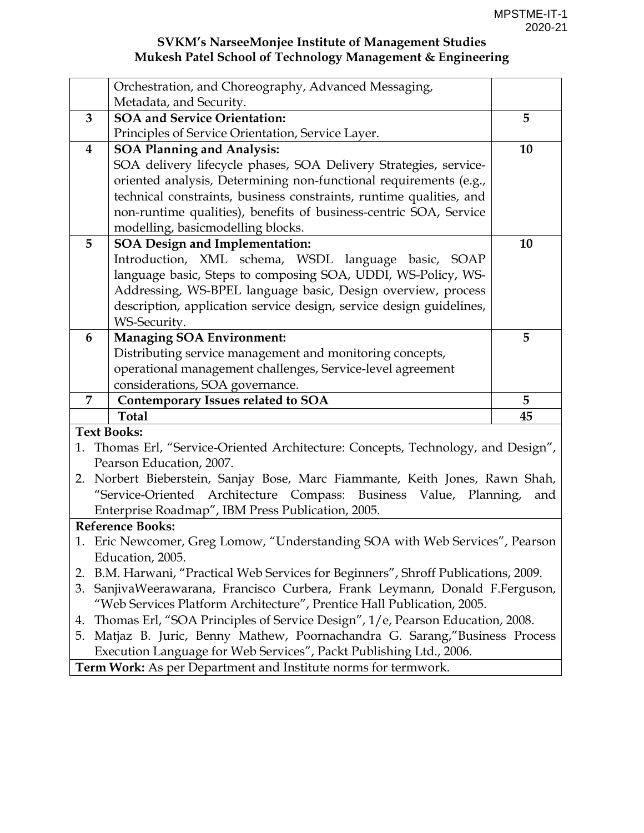|    | Orchestration, and Choreography, Advanced Messaging,                              |                  |  |  |  |  |  |
|----|-----------------------------------------------------------------------------------|------------------|--|--|--|--|--|
|    | Metadata, and Security.                                                           |                  |  |  |  |  |  |
| 3  | <b>SOA and Service Orientation:</b>                                               | 5                |  |  |  |  |  |
|    | Principles of Service Orientation, Service Layer.                                 |                  |  |  |  |  |  |
| 4  | <b>SOA Planning and Analysis:</b>                                                 | 10               |  |  |  |  |  |
|    | SOA delivery lifecycle phases, SOA Delivery Strategies, service-                  |                  |  |  |  |  |  |
|    | oriented analysis, Determining non-functional requirements (e.g.,                 |                  |  |  |  |  |  |
|    | technical constraints, business constraints, runtime qualities, and               |                  |  |  |  |  |  |
|    | non-runtime qualities), benefits of business-centric SOA, Service                 |                  |  |  |  |  |  |
|    | modelling, basicmodelling blocks.                                                 |                  |  |  |  |  |  |
| 5  | <b>SOA Design and Implementation:</b>                                             | 10               |  |  |  |  |  |
|    | Introduction, XML schema, WSDL language basic, SOAP                               |                  |  |  |  |  |  |
|    | language basic, Steps to composing SOA, UDDI, WS-Policy, WS-                      |                  |  |  |  |  |  |
|    | Addressing, WS-BPEL language basic, Design overview, process                      |                  |  |  |  |  |  |
|    | description, application service design, service design guidelines,               |                  |  |  |  |  |  |
|    | WS-Security.                                                                      |                  |  |  |  |  |  |
| 6  | <b>Managing SOA Environment:</b>                                                  | 5                |  |  |  |  |  |
|    | Distributing service management and monitoring concepts,                          |                  |  |  |  |  |  |
|    | operational management challenges, Service-level agreement                        |                  |  |  |  |  |  |
|    | considerations, SOA governance.                                                   |                  |  |  |  |  |  |
| 7  | <b>Contemporary Issues related to SOA</b>                                         | 5                |  |  |  |  |  |
|    | <b>Total</b>                                                                      | 45               |  |  |  |  |  |
|    | <b>Text Books:</b>                                                                |                  |  |  |  |  |  |
|    |                                                                                   |                  |  |  |  |  |  |
|    | 1. Thomas Erl, "Service-Oriented Architecture: Concepts, Technology, and Design", |                  |  |  |  |  |  |
|    | Pearson Education, 2007.                                                          |                  |  |  |  |  |  |
| 2. | Norbert Bieberstein, Sanjay Bose, Marc Fiammante, Keith Jones, Rawn Shah,         |                  |  |  |  |  |  |
|    | "Service-Oriented Architecture Compass: Business Value,                           | Planning,<br>and |  |  |  |  |  |
|    | Enterprise Roadmap", IBM Press Publication, 2005.                                 |                  |  |  |  |  |  |
|    | <b>Reference Books:</b>                                                           |                  |  |  |  |  |  |
|    | 1. Eric Newcomer, Greg Lomow, "Understanding SOA with Web Services", Pearson      |                  |  |  |  |  |  |
|    | Education, 2005.                                                                  |                  |  |  |  |  |  |
| 2. | B.M. Harwani, "Practical Web Services for Beginners", Shroff Publications, 2009.  |                  |  |  |  |  |  |
| 3. | SanjivaWeerawarana, Francisco Curbera, Frank Leymann, Donald F.Ferguson,          |                  |  |  |  |  |  |
|    | "Web Services Platform Architecture", Prentice Hall Publication, 2005.            |                  |  |  |  |  |  |
| 4. | Thomas Erl, "SOA Principles of Service Design", 1/e, Pearson Education, 2008.     |                  |  |  |  |  |  |
| 5. | Matjaz B. Juric, Benny Mathew, Poornachandra G. Sarang,"Business Process          |                  |  |  |  |  |  |
|    | Execution Language for Web Services", Packt Publishing Ltd., 2006.                |                  |  |  |  |  |  |
|    | Term Work: As per Department and Institute norms for termwork.                    |                  |  |  |  |  |  |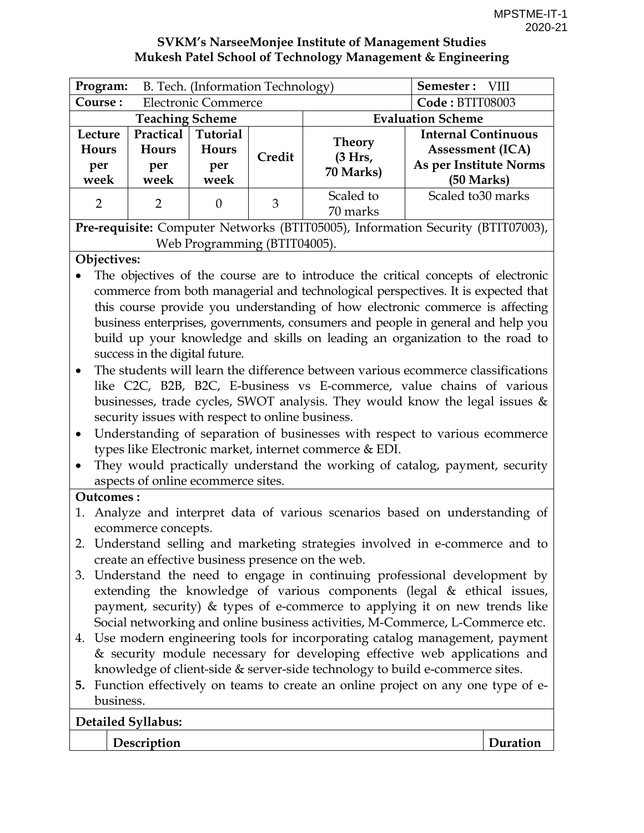| <b>SVKM's NarseeMonjee Institute of Management Studies</b> |
|------------------------------------------------------------|
| Mukesh Patel School of Technology Management & Engineering |

| Program:                                                                        |                            | B. Tech. (Information Technology) |                   | Semester: VIII |                            |  |  |
|---------------------------------------------------------------------------------|----------------------------|-----------------------------------|-------------------|----------------|----------------------------|--|--|
| Course:                                                                         | <b>Electronic Commerce</b> | Code: BTIT08003                   |                   |                |                            |  |  |
| <b>Evaluation Scheme</b><br><b>Teaching Scheme</b>                              |                            |                                   |                   |                |                            |  |  |
| Lecture                                                                         | Practical                  | <b>Tutorial</b>                   |                   | <b>Theory</b>  | <b>Internal Continuous</b> |  |  |
| Hours                                                                           | Hours                      | <b>Hours</b>                      | Credit<br>(3 Hrs, |                | <b>Assessment (ICA)</b>    |  |  |
| per                                                                             | per                        | per                               |                   | 70 Marks)      | As per Institute Norms     |  |  |
| week                                                                            | week                       | week                              |                   |                | (50 Marks)                 |  |  |
| $\overline{2}$                                                                  | $\mathcal{P}$              | $\Omega$                          | 3                 | Scaled to      | Scaled to 30 marks         |  |  |
|                                                                                 |                            |                                   |                   | 70 marks       |                            |  |  |
| Pre-requisite: Computer Networks (BTIT05005), Information Security (BTIT07003), |                            |                                   |                   |                |                            |  |  |

Web Programming (BTIT04005).

#### **Objectives:**

- The objectives of the course are to introduce the critical concepts of electronic commerce from both managerial and technological perspectives. It is expected that this course provide you understanding of how electronic commerce is affecting business enterprises, governments, consumers and people in general and help you build up your knowledge and skills on leading an organization to the road to success in the digital future.
- The students will learn the difference between various ecommerce classifications like C2C, B2B, B2C, E-business vs E-commerce, value chains of various businesses, trade cycles, SWOT analysis. They would know the legal issues & security issues with respect to online business.
- Understanding of separation of businesses with respect to various ecommerce types like Electronic market, internet commerce & EDI.
- They would practically understand the working of catalog, payment, security aspects of online ecommerce sites.

#### **Outcomes :**

- 1. Analyze and interpret data of various scenarios based on understanding of ecommerce concepts.
- 2. Understand selling and marketing strategies involved in e-commerce and to create an effective business presence on the web.
- 3. Understand the need to engage in continuing professional development by extending the knowledge of various components (legal & ethical issues, payment, security) & types of e-commerce to applying it on new trends like Social networking and online business activities, M-Commerce, L-Commerce etc.
- 4. Use modern engineering tools for incorporating catalog management, payment & security module necessary for developing effective web applications and knowledge of client-side & server-side technology to build e-commerce sites.
- **5.** Function effectively on teams to create an online project on any one type of ebusiness.

#### **Detailed Syllabus:**

**Description Description**  Duration **Description**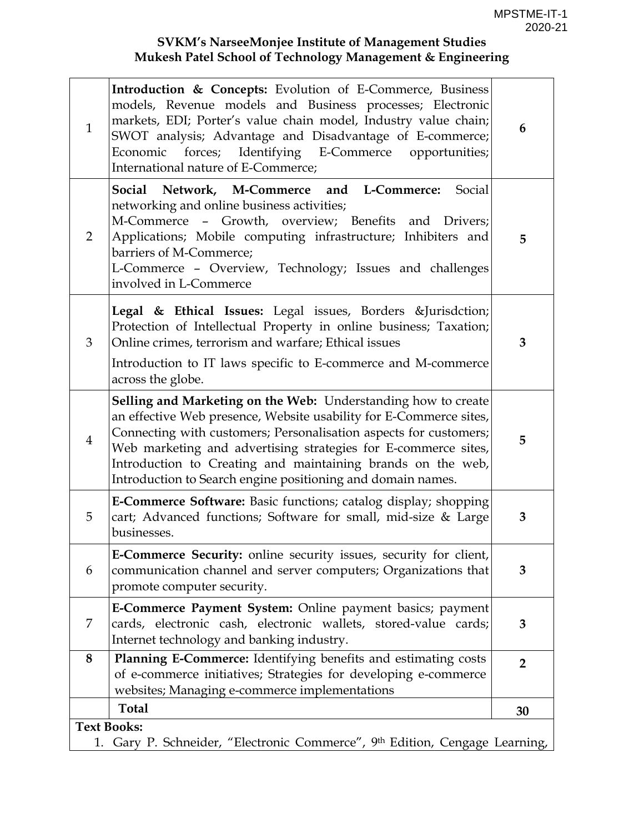| $\mathbf{1}$   | <b>Introduction &amp; Concepts:</b> Evolution of E-Commerce, Business<br>models, Revenue models and Business processes; Electronic<br>markets, EDI; Porter's value chain model, Industry value chain;<br>SWOT analysis; Advantage and Disadvantage of E-commerce;<br>Economic forces; Identifying E-Commerce opportunities;<br>International nature of E-Commerce; | 6              |  |  |  |  |  |
|----------------|--------------------------------------------------------------------------------------------------------------------------------------------------------------------------------------------------------------------------------------------------------------------------------------------------------------------------------------------------------------------|----------------|--|--|--|--|--|
| 2              | Social Network, M-Commerce and L-Commerce:<br>Social<br>networking and online business activities;<br>M-Commerce - Growth, overview; Benefits and Drivers;<br>Applications; Mobile computing infrastructure; Inhibiters and<br>barriers of M-Commerce;<br>L-Commerce - Overview, Technology; Issues and challenges<br>involved in L-Commerce                       | 5              |  |  |  |  |  |
| 3              | Legal & Ethical Issues: Legal issues, Borders &Jurisdction<br>Protection of Intellectual Property in online business; Taxation;<br>Online crimes, terrorism and warfare; Ethical issues<br>Introduction to IT laws specific to E-commerce and M-commerce                                                                                                           | 3              |  |  |  |  |  |
|                | across the globe.<br>Selling and Marketing on the Web: Understanding how to create                                                                                                                                                                                                                                                                                 |                |  |  |  |  |  |
| $\overline{4}$ | an effective Web presence, Website usability for E-Commerce sites,<br>Connecting with customers; Personalisation aspects for customers;<br>Web marketing and advertising strategies for E-commerce sites,<br>Introduction to Creating and maintaining brands on the web,<br>Introduction to Search engine positioning and domain names.                            | 5              |  |  |  |  |  |
| 5              | <b>E-Commerce Software:</b> Basic functions; catalog display; shopping<br>cart; Advanced functions; Software for small, mid-size & Large<br>businesses.                                                                                                                                                                                                            | 3              |  |  |  |  |  |
| 6              | E-Commerce Security: online security issues, security for client,<br>communication channel and server computers; Organizations that<br>promote computer security.                                                                                                                                                                                                  | 3              |  |  |  |  |  |
| 7              | E-Commerce Payment System: Online payment basics; payment<br>cards, electronic cash, electronic wallets, stored-value cards;<br>Internet technology and banking industry.                                                                                                                                                                                          | 3              |  |  |  |  |  |
| 8              | Planning E-Commerce: Identifying benefits and estimating costs<br>of e-commerce initiatives; Strategies for developing e-commerce<br>websites; Managing e-commerce implementations                                                                                                                                                                                 | $\overline{2}$ |  |  |  |  |  |
|                | <b>Total</b>                                                                                                                                                                                                                                                                                                                                                       | 30             |  |  |  |  |  |
|                | <b>Text Books:</b>                                                                                                                                                                                                                                                                                                                                                 |                |  |  |  |  |  |
|                | Gary P. Schneider, "Electronic Commerce", 9th Edition, Cengage Learning,<br>1.                                                                                                                                                                                                                                                                                     |                |  |  |  |  |  |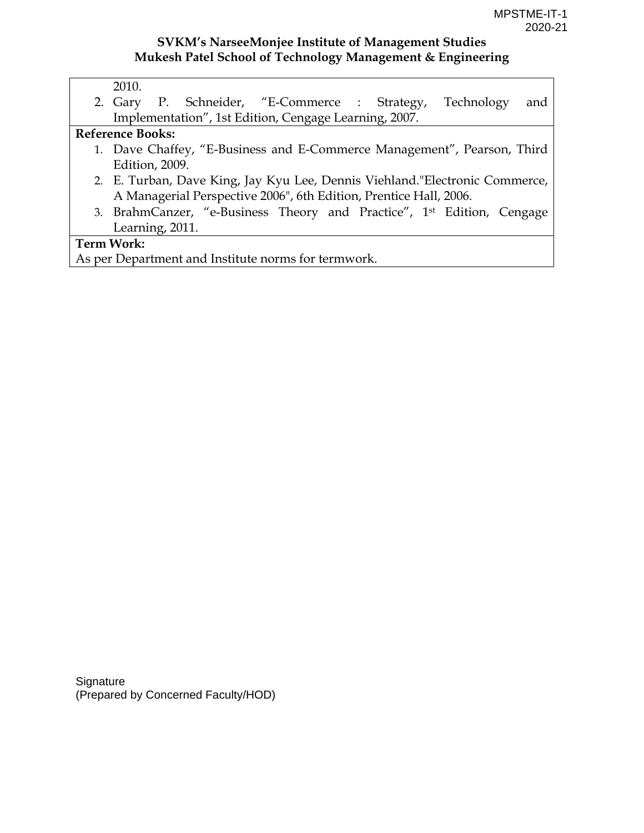| JT. |
|-----|
|-----|

2. Gary P. Schneider, "E-Commerce : Strategy, Technology and Implementation", 1st Edition, Cengage Learning, 2007.

#### **Reference Books:**

- 1. Dave Chaffey, "E-Business and E-Commerce Management", Pearson, Third Edition, 2009.
- 2. E. Turban, Dave King, Jay Kyu Lee, Dennis Viehland."Electronic Commerce, A Managerial Perspective 2006", 6th Edition, Prentice Hall, 2006.
- 3. BrahmCanzer, "e-Business Theory and Practice", 1st Edition, Cengage Learning, 2011.

#### **Term Work:**

As per Department and Institute norms for termwork.

**Signature** (Prepared by Concerned Faculty/HOD)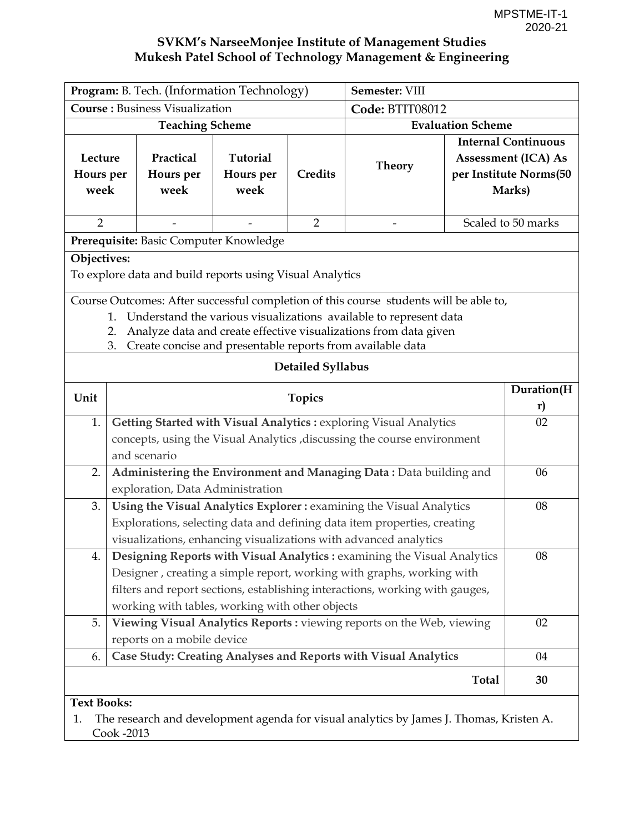| Program: B. Tech. (Information Technology)                                                                                                                                                                                                                                                             |                                                                                                                                                                                                                                                                                                                            |                                                          |                                      |                   | Semester: VIII                                                                          |                                                                                              |                    |  |
|--------------------------------------------------------------------------------------------------------------------------------------------------------------------------------------------------------------------------------------------------------------------------------------------------------|----------------------------------------------------------------------------------------------------------------------------------------------------------------------------------------------------------------------------------------------------------------------------------------------------------------------------|----------------------------------------------------------|--------------------------------------|-------------------|-----------------------------------------------------------------------------------------|----------------------------------------------------------------------------------------------|--------------------|--|
|                                                                                                                                                                                                                                                                                                        |                                                                                                                                                                                                                                                                                                                            | <b>Course: Business Visualization</b>                    |                                      |                   | Code: BTIT08012                                                                         |                                                                                              |                    |  |
|                                                                                                                                                                                                                                                                                                        |                                                                                                                                                                                                                                                                                                                            | <b>Teaching Scheme</b>                                   |                                      |                   |                                                                                         | <b>Evaluation Scheme</b>                                                                     |                    |  |
| Lecture<br>Hours per<br>week                                                                                                                                                                                                                                                                           |                                                                                                                                                                                                                                                                                                                            | Practical<br>Hours per<br>week                           | <b>Tutorial</b><br>Hours per<br>week | <b>Credits</b>    | <b>Theory</b>                                                                           | <b>Internal Continuous</b><br><b>Assessment (ICA) As</b><br>per Institute Norms(50<br>Marks) |                    |  |
| $\overline{2}$                                                                                                                                                                                                                                                                                         |                                                                                                                                                                                                                                                                                                                            |                                                          |                                      | $\overline{2}$    |                                                                                         |                                                                                              | Scaled to 50 marks |  |
| Prerequisite: Basic Computer Knowledge                                                                                                                                                                                                                                                                 |                                                                                                                                                                                                                                                                                                                            |                                                          |                                      |                   |                                                                                         |                                                                                              |                    |  |
| Objectives:                                                                                                                                                                                                                                                                                            |                                                                                                                                                                                                                                                                                                                            | To explore data and build reports using Visual Analytics |                                      |                   |                                                                                         |                                                                                              |                    |  |
|                                                                                                                                                                                                                                                                                                        | Course Outcomes: After successful completion of this course students will be able to,<br>Understand the various visualizations available to represent data<br>$\mathbf{1}$ .<br>Analyze data and create effective visualizations from data given<br>2.<br>Create concise and presentable reports from available data<br>3. |                                                          |                                      |                   |                                                                                         |                                                                                              |                    |  |
|                                                                                                                                                                                                                                                                                                        |                                                                                                                                                                                                                                                                                                                            |                                                          |                                      | Detailed Syllabus |                                                                                         |                                                                                              |                    |  |
| Unit                                                                                                                                                                                                                                                                                                   | <b>Topics</b>                                                                                                                                                                                                                                                                                                              |                                                          |                                      |                   |                                                                                         |                                                                                              | Duration(H<br>r)   |  |
| 1.                                                                                                                                                                                                                                                                                                     | Getting Started with Visual Analytics : exploring Visual Analytics<br>concepts, using the Visual Analytics , discussing the course environment<br>and scenario                                                                                                                                                             |                                                          |                                      |                   |                                                                                         |                                                                                              |                    |  |
| 2.                                                                                                                                                                                                                                                                                                     |                                                                                                                                                                                                                                                                                                                            | exploration, Data Administration                         |                                      |                   | Administering the Environment and Managing Data: Data building and                      |                                                                                              | 06                 |  |
| Using the Visual Analytics Explorer : examining the Visual Analytics<br>3.<br>Explorations, selecting data and defining data item properties, creating<br>visualizations, enhancing visualizations with advanced analytics                                                                             |                                                                                                                                                                                                                                                                                                                            |                                                          |                                      |                   |                                                                                         | 08                                                                                           |                    |  |
| 4.<br><b>Designing Reports with Visual Analytics:</b> examining the Visual Analytics<br>08<br>Designer, creating a simple report, working with graphs, working with<br>filters and report sections, establishing interactions, working with gauges,<br>working with tables, working with other objects |                                                                                                                                                                                                                                                                                                                            |                                                          |                                      |                   |                                                                                         |                                                                                              |                    |  |
| Viewing Visual Analytics Reports : viewing reports on the Web, viewing<br>5.<br>reports on a mobile device                                                                                                                                                                                             |                                                                                                                                                                                                                                                                                                                            |                                                          |                                      |                   |                                                                                         |                                                                                              | 02                 |  |
| 6.                                                                                                                                                                                                                                                                                                     |                                                                                                                                                                                                                                                                                                                            |                                                          |                                      |                   | Case Study: Creating Analyses and Reports with Visual Analytics                         |                                                                                              | 04                 |  |
|                                                                                                                                                                                                                                                                                                        |                                                                                                                                                                                                                                                                                                                            |                                                          |                                      |                   |                                                                                         | <b>Total</b>                                                                                 | 30                 |  |
| <b>Text Books:</b><br>1.                                                                                                                                                                                                                                                                               | Cook -2013                                                                                                                                                                                                                                                                                                                 |                                                          |                                      |                   | The research and development agenda for visual analytics by James J. Thomas, Kristen A. |                                                                                              |                    |  |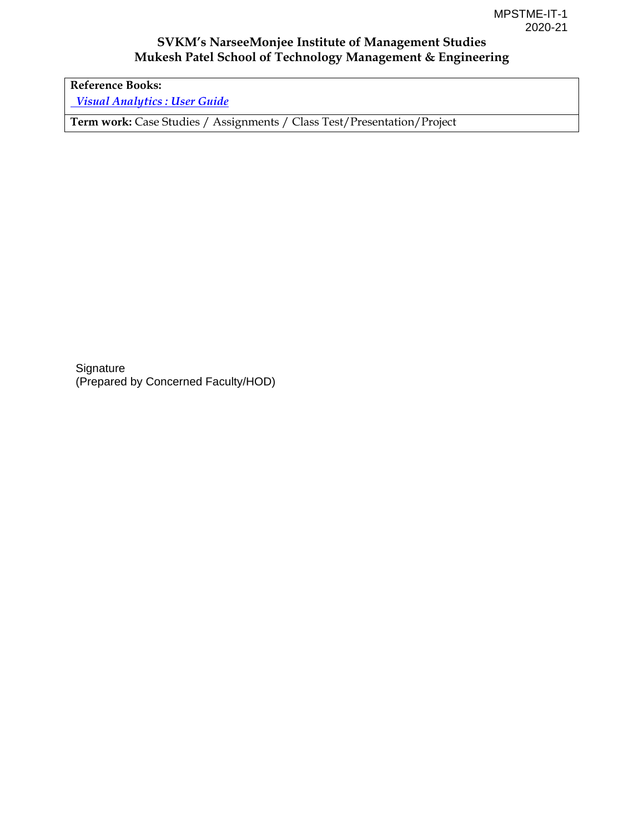**Reference Books:**   *[Visual Analytics : User Guide](https://support.sas.com/pubscat/bookdetails.jsp?catid=1&pc=61860)*

**Term work:** Case Studies / Assignments / Class Test/Presentation/Project

**Signature** (Prepared by Concerned Faculty/HOD)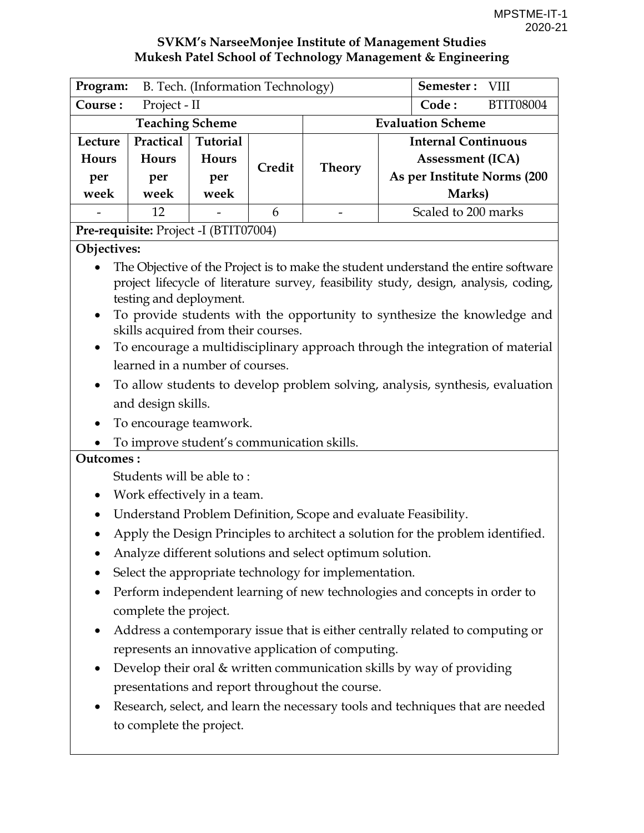|                                                                                                                                                                                                    | B. Tech. (Information Technology)<br>Program: |                 |                  |        |                             |        | Semester: VIII          |  |
|----------------------------------------------------------------------------------------------------------------------------------------------------------------------------------------------------|-----------------------------------------------|-----------------|------------------|--------|-----------------------------|--------|-------------------------|--|
| Course:                                                                                                                                                                                            | Project - II                                  | Code:           | <b>BTIT08004</b> |        |                             |        |                         |  |
| <b>Teaching Scheme</b><br><b>Evaluation Scheme</b>                                                                                                                                                 |                                               |                 |                  |        |                             |        |                         |  |
| Lecture                                                                                                                                                                                            | Practical                                     | <b>Tutorial</b> |                  |        | <b>Internal Continuous</b>  |        |                         |  |
| Hours                                                                                                                                                                                              | <b>Hours</b>                                  | <b>Hours</b>    |                  | Credit | <b>Theory</b>               |        | <b>Assessment (ICA)</b> |  |
| per                                                                                                                                                                                                | per                                           | per             |                  |        | As per Institute Norms (200 |        |                         |  |
| week                                                                                                                                                                                               | week                                          | week            |                  |        |                             | Marks) |                         |  |
|                                                                                                                                                                                                    | 12                                            |                 | 6                |        | Scaled to 200 marks         |        |                         |  |
| $\mathbf{D}_{\text{max}}$ $\mathbf{L}_{\text{max}}$ $\mathbf{L}_{\text{max}}$ $\mathbf{D}$ $\mathbf{L}_{\text{max}}$ $\mathbf{L}_{\text{max}}$ $\mathbf{D}_{\text{max}}$ $\mathbf{L}_{\text{max}}$ |                                               |                 |                  |        |                             |        |                         |  |

### **Pre-requisite:** Project -I (BTIT07004)

#### **Objectives:**

- The Objective of the Project is to make the student understand the entire software project lifecycle of literature survey, feasibility study, design, analysis, coding, testing and deployment.
- To provide students with the opportunity to synthesize the knowledge and skills acquired from their courses.
- To encourage a multidisciplinary approach through the integration of material learned in a number of courses.
- To allow students to develop problem solving, analysis, synthesis, evaluation and design skills.
- To encourage teamwork.
- To improve student's communication skills.

#### **Outcomes :**

Students will be able to :

- Work effectively in a team.
- Understand Problem Definition, Scope and evaluate Feasibility.
- Apply the Design Principles to architect a solution for the problem identified.
- Analyze different solutions and select optimum solution.
- Select the appropriate technology for implementation.
- Perform independent learning of new technologies and concepts in order to complete the project.
- Address a contemporary issue that is either centrally related to computing or represents an innovative application of computing.
- Develop their oral & written communication skills by way of providing presentations and report throughout the course.
- Research, select, and learn the necessary tools and techniques that are needed to complete the project.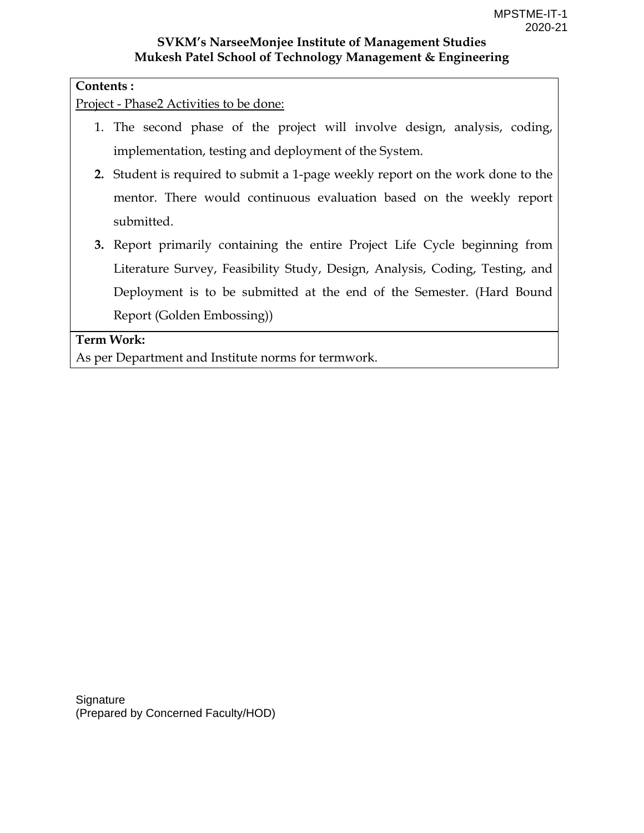#### **Contents :**

Project - Phase2 Activities to be done:

- 1. The second phase of the project will involve design, analysis, coding, implementation, testing and deployment of the System.
- **2.** Student is required to submit a 1-page weekly report on the work done to the mentor. There would continuous evaluation based on the weekly report submitted.
- **3.** Report primarily containing the entire Project Life Cycle beginning from Literature Survey, Feasibility Study, Design, Analysis, Coding, Testing, and Deployment is to be submitted at the end of the Semester. (Hard Bound Report (Golden Embossing))

**Term Work:** 

As per Department and Institute norms for termwork.

**Signature** (Prepared by Concerned Faculty/HOD)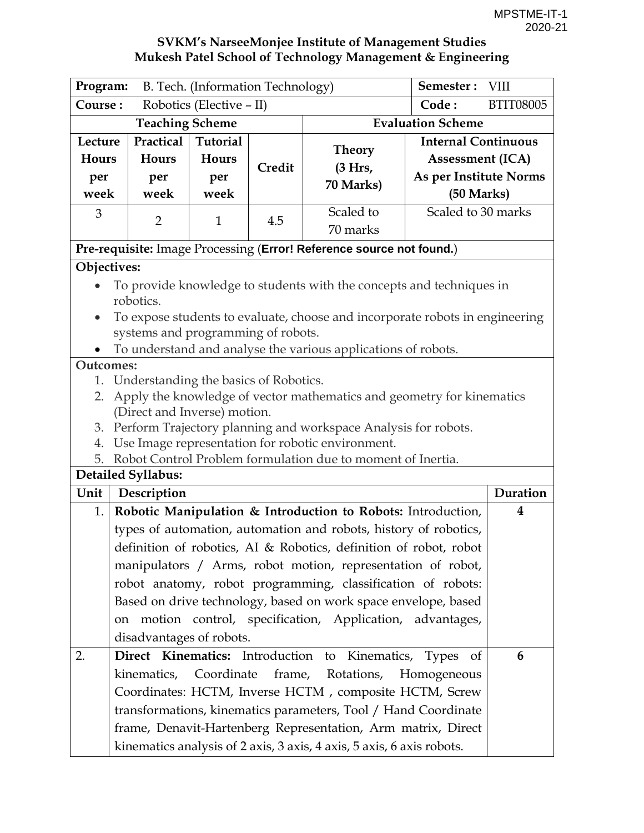| Program:                                                                          | B. Tech. (Information Technology)                                    |                 |        |                                                                              |                            | VIII             |  |  |
|-----------------------------------------------------------------------------------|----------------------------------------------------------------------|-----------------|--------|------------------------------------------------------------------------------|----------------------------|------------------|--|--|
| Course:                                                                           | Robotics (Elective – II)                                             |                 |        |                                                                              |                            | <b>BTIT08005</b> |  |  |
|                                                                                   | <b>Teaching Scheme</b>                                               |                 |        |                                                                              | <b>Evaluation Scheme</b>   |                  |  |  |
| Lecture                                                                           | Practical                                                            | <b>Tutorial</b> |        | <b>Theory</b>                                                                | <b>Internal Continuous</b> |                  |  |  |
| Hours                                                                             | <b>Hours</b>                                                         | <b>Hours</b>    | Credit | (3 Hrs,                                                                      | <b>Assessment (ICA)</b>    |                  |  |  |
| per                                                                               | per                                                                  | per             |        | 70 Marks)                                                                    | As per Institute Norms     |                  |  |  |
| week                                                                              | week                                                                 | week            |        |                                                                              | (50 Marks)                 |                  |  |  |
| 3                                                                                 | $\overline{2}$                                                       | $\mathbf{1}$    | 4.5    | Scaled to                                                                    | Scaled to 30 marks         |                  |  |  |
|                                                                                   |                                                                      |                 |        | 70 marks                                                                     |                            |                  |  |  |
|                                                                                   |                                                                      |                 |        | Pre-requisite: Image Processing (Error! Reference source not found.)         |                            |                  |  |  |
| Objectives:                                                                       |                                                                      |                 |        |                                                                              |                            |                  |  |  |
|                                                                                   | To provide knowledge to students with the concepts and techniques in |                 |        |                                                                              |                            |                  |  |  |
|                                                                                   | robotics.                                                            |                 |        |                                                                              |                            |                  |  |  |
|                                                                                   |                                                                      |                 |        | To expose students to evaluate, choose and incorporate robots in engineering |                            |                  |  |  |
|                                                                                   | systems and programming of robots.                                   |                 |        |                                                                              |                            |                  |  |  |
| To understand and analyse the various applications of robots.<br><b>Outcomes:</b> |                                                                      |                 |        |                                                                              |                            |                  |  |  |
| 1.                                                                                | Understanding the basics of Robotics.                                |                 |        |                                                                              |                            |                  |  |  |
| 2.                                                                                |                                                                      |                 |        | Apply the knowledge of vector mathematics and geometry for kinematics        |                            |                  |  |  |
|                                                                                   | (Direct and Inverse) motion.                                         |                 |        |                                                                              |                            |                  |  |  |
|                                                                                   |                                                                      |                 |        | 3. Perform Trajectory planning and workspace Analysis for robots.            |                            |                  |  |  |
| 4.                                                                                |                                                                      |                 |        | Use Image representation for robotic environment.                            |                            |                  |  |  |
| 5.                                                                                |                                                                      |                 |        | Robot Control Problem formulation due to moment of Inertia.                  |                            |                  |  |  |
|                                                                                   | <b>Detailed Syllabus:</b>                                            |                 |        |                                                                              |                            |                  |  |  |
| Unit                                                                              | Description                                                          |                 |        |                                                                              |                            | Duration         |  |  |
| 1.                                                                                |                                                                      |                 |        | Robotic Manipulation & Introduction to Robots: Introduction,                 |                            | 4                |  |  |
|                                                                                   |                                                                      |                 |        | types of automation, automation and robots, history of robotics,             |                            |                  |  |  |
|                                                                                   |                                                                      |                 |        | definition of robotics, AI & Robotics, definition of robot, robot            |                            |                  |  |  |
|                                                                                   |                                                                      |                 |        | manipulators / Arms, robot motion, representation of robot,                  |                            |                  |  |  |
|                                                                                   |                                                                      |                 |        | robot anatomy, robot programming, classification of robots:                  |                            |                  |  |  |
|                                                                                   |                                                                      |                 |        | Based on drive technology, based on work space envelope, based               |                            |                  |  |  |
|                                                                                   |                                                                      |                 |        | on motion control, specification, Application, advantages,                   |                            |                  |  |  |
|                                                                                   | disadvantages of robots.                                             |                 |        |                                                                              |                            |                  |  |  |
| 2.                                                                                |                                                                      |                 |        | Direct Kinematics: Introduction to Kinematics, Types                         | - of                       | 6                |  |  |
|                                                                                   | kinematics, Coordinate frame,                                        |                 |        | Rotations,                                                                   | Homogeneous                |                  |  |  |
|                                                                                   |                                                                      |                 |        | Coordinates: HCTM, Inverse HCTM, composite HCTM, Screw                       |                            |                  |  |  |
|                                                                                   |                                                                      |                 |        | transformations, kinematics parameters, Tool / Hand Coordinate               |                            |                  |  |  |
|                                                                                   |                                                                      |                 |        | frame, Denavit-Hartenberg Representation, Arm matrix, Direct                 |                            |                  |  |  |
|                                                                                   |                                                                      |                 |        | kinematics analysis of 2 axis, 3 axis, 4 axis, 5 axis, 6 axis robots.        |                            |                  |  |  |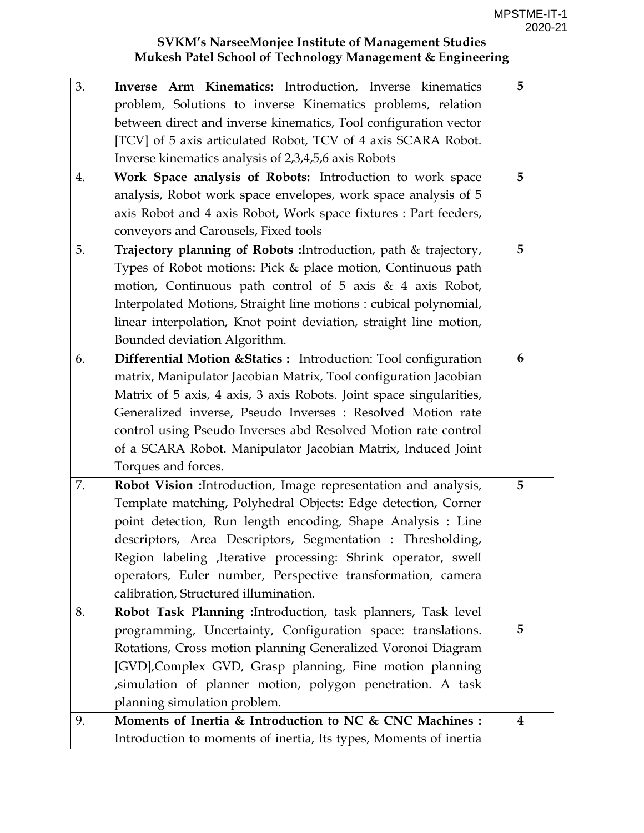| 3. | Inverse Arm Kinematics: Introduction, Inverse kinematics            | 5 |
|----|---------------------------------------------------------------------|---|
|    | problem, Solutions to inverse Kinematics problems, relation         |   |
|    | between direct and inverse kinematics, Tool configuration vector    |   |
|    | [TCV] of 5 axis articulated Robot, TCV of 4 axis SCARA Robot.       |   |
|    | Inverse kinematics analysis of 2,3,4,5,6 axis Robots                |   |
| 4. | Work Space analysis of Robots: Introduction to work space           | 5 |
|    | analysis, Robot work space envelopes, work space analysis of 5      |   |
|    | axis Robot and 4 axis Robot, Work space fixtures : Part feeders,    |   |
|    | conveyors and Carousels, Fixed tools                                |   |
| 5. | Trajectory planning of Robots : Introduction, path & trajectory,    | 5 |
|    | Types of Robot motions: Pick & place motion, Continuous path        |   |
|    | motion, Continuous path control of 5 axis & 4 axis Robot,           |   |
|    | Interpolated Motions, Straight line motions : cubical polynomial,   |   |
|    | linear interpolation, Knot point deviation, straight line motion,   |   |
|    | Bounded deviation Algorithm.                                        |   |
| 6. | Differential Motion & Statics : Introduction: Tool configuration    | 6 |
|    | matrix, Manipulator Jacobian Matrix, Tool configuration Jacobian    |   |
|    | Matrix of 5 axis, 4 axis, 3 axis Robots. Joint space singularities, |   |
|    | Generalized inverse, Pseudo Inverses : Resolved Motion rate         |   |
|    | control using Pseudo Inverses abd Resolved Motion rate control      |   |
|    | of a SCARA Robot. Manipulator Jacobian Matrix, Induced Joint        |   |
|    | Torques and forces.                                                 |   |
| 7. | Robot Vision : Introduction, Image representation and analysis,     | 5 |
|    | Template matching, Polyhedral Objects: Edge detection, Corner       |   |
|    | point detection, Run length encoding, Shape Analysis : Line         |   |
|    | descriptors, Area Descriptors, Segmentation : Thresholding,         |   |
|    | Region labeling , Iterative processing: Shrink operator, swell      |   |
|    | operators, Euler number, Perspective transformation, camera         |   |
|    | calibration, Structured illumination.                               |   |
| 8. | Robot Task Planning : Introduction, task planners, Task level       |   |
|    | programming, Uncertainty, Configuration space: translations.        | 5 |
|    | Rotations, Cross motion planning Generalized Voronoi Diagram        |   |
|    | [GVD], Complex GVD, Grasp planning, Fine motion planning            |   |
|    | simulation of planner motion, polygon penetration. A task           |   |
|    | planning simulation problem.                                        |   |
| 9. | Moments of Inertia & Introduction to NC & CNC Machines :            | 4 |
|    | Introduction to moments of inertia, Its types, Moments of inertia   |   |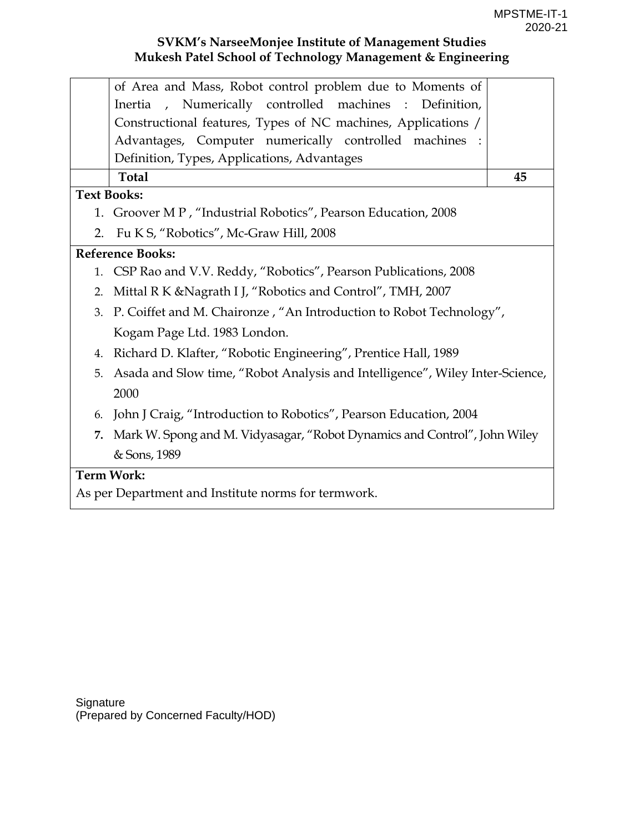|    | of Area and Mass, Robot control problem due to Moments of                    |    |  |
|----|------------------------------------------------------------------------------|----|--|
|    | Inertia, Numerically controlled machines : Definition,                       |    |  |
|    | Constructional features, Types of NC machines, Applications /                |    |  |
|    | Advantages, Computer numerically controlled machines :                       |    |  |
|    | Definition, Types, Applications, Advantages                                  |    |  |
|    | <b>Total</b>                                                                 | 45 |  |
|    | <b>Text Books:</b>                                                           |    |  |
| 1. | Groover MP, "Industrial Robotics", Pearson Education, 2008                   |    |  |
| 2. | Fu K S, "Robotics", Mc-Graw Hill, 2008                                       |    |  |
|    | <b>Reference Books:</b>                                                      |    |  |
| 1. | CSP Rao and V.V. Reddy, "Robotics", Pearson Publications, 2008               |    |  |
| 2. | Mittal R K & Nagrath I J, "Robotics and Control", TMH, 2007                  |    |  |
| 3. | P. Coiffet and M. Chaironze, "An Introduction to Robot Technology",          |    |  |
|    | Kogam Page Ltd. 1983 London.                                                 |    |  |
| 4. | Richard D. Klafter, "Robotic Engineering", Prentice Hall, 1989               |    |  |
| 5. | Asada and Slow time, "Robot Analysis and Intelligence", Wiley Inter-Science, |    |  |
|    | 2000                                                                         |    |  |
| 6. | John J Craig, "Introduction to Robotics", Pearson Education, 2004            |    |  |
| 7. | Mark W. Spong and M. Vidyasagar, "Robot Dynamics and Control", John Wiley    |    |  |
|    | & Sons, 1989                                                                 |    |  |
|    | <b>Term Work:</b>                                                            |    |  |
|    |                                                                              |    |  |

As per Department and Institute norms for termwork.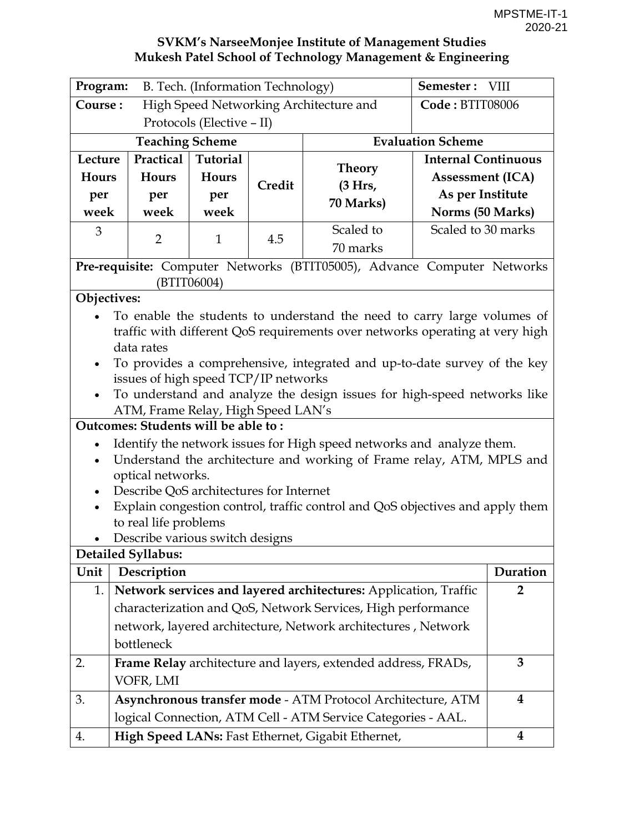| Program:<br>B. Tech. (Information Technology)     |                                         |                           |        |                                                                               | Semester: VIII             |                         |
|---------------------------------------------------|-----------------------------------------|---------------------------|--------|-------------------------------------------------------------------------------|----------------------------|-------------------------|
| Course:<br>High Speed Networking Architecture and |                                         |                           |        |                                                                               | Code: BTIT08006            |                         |
|                                                   |                                         | Protocols (Elective - II) |        |                                                                               |                            |                         |
|                                                   | <b>Teaching Scheme</b>                  |                           |        |                                                                               | <b>Evaluation Scheme</b>   |                         |
| Lecture                                           | Practical                               | Tutorial                  |        |                                                                               | <b>Internal Continuous</b> |                         |
| Hours                                             | Hours                                   | Hours                     | Credit | <b>Theory</b>                                                                 | <b>Assessment (ICA)</b>    |                         |
| per                                               | per                                     | per                       |        | (3 Hrs,<br>70 Marks)                                                          | As per Institute           |                         |
| week                                              | week                                    | week                      |        |                                                                               | Norms (50 Marks)           |                         |
| 3                                                 | $\overline{2}$                          | $\mathbf{1}$              | 4.5    | Scaled to                                                                     | Scaled to 30 marks         |                         |
|                                                   |                                         |                           |        | 70 marks                                                                      |                            |                         |
|                                                   |                                         |                           |        | Pre-requisite: Computer Networks (BTIT05005), Advance Computer Networks       |                            |                         |
|                                                   |                                         | (BTIT06004)               |        |                                                                               |                            |                         |
| Objectives:                                       |                                         |                           |        |                                                                               |                            |                         |
|                                                   |                                         |                           |        | To enable the students to understand the need to carry large volumes of       |                            |                         |
|                                                   | data rates                              |                           |        | traffic with different QoS requirements over networks operating at very high  |                            |                         |
| $\bullet$                                         |                                         |                           |        | To provides a comprehensive, integrated and up-to-date survey of the key      |                            |                         |
|                                                   | issues of high speed TCP/IP networks    |                           |        |                                                                               |                            |                         |
| $\bullet$                                         |                                         |                           |        | To understand and analyze the design issues for high-speed networks like      |                            |                         |
|                                                   | ATM, Frame Relay, High Speed LAN's      |                           |        |                                                                               |                            |                         |
|                                                   | Outcomes: Students will be able to:     |                           |        |                                                                               |                            |                         |
| $\bullet$                                         |                                         |                           |        | Identify the network issues for High speed networks and analyze them.         |                            |                         |
| $\bullet$                                         |                                         |                           |        | Understand the architecture and working of Frame relay, ATM, MPLS and         |                            |                         |
|                                                   | optical networks.                       |                           |        |                                                                               |                            |                         |
| $\bullet$                                         | Describe QoS architectures for Internet |                           |        |                                                                               |                            |                         |
| $\bullet$                                         | to real life problems                   |                           |        | Explain congestion control, traffic control and QoS objectives and apply them |                            |                         |
| $\bullet$                                         | Describe various switch designs         |                           |        |                                                                               |                            |                         |
|                                                   | <b>Detailed Syllabus:</b>               |                           |        |                                                                               |                            |                         |
| Unit                                              | Description                             |                           |        |                                                                               |                            | Duration                |
| 1.                                                |                                         |                           |        | Network services and layered architectures: Application, Traffic              |                            | $\overline{2}$          |
|                                                   |                                         |                           |        | characterization and QoS, Network Services, High performance                  |                            |                         |
|                                                   |                                         |                           |        | network, layered architecture, Network architectures, Network                 |                            |                         |
|                                                   | bottleneck                              |                           |        |                                                                               |                            |                         |
| 2.                                                |                                         |                           |        | Frame Relay architecture and layers, extended address, FRADs,                 |                            | 3                       |
|                                                   | VOFR, LMI                               |                           |        |                                                                               |                            |                         |
| 3.                                                |                                         |                           |        | Asynchronous transfer mode - ATM Protocol Architecture, ATM                   |                            | $\overline{\mathbf{4}}$ |
|                                                   |                                         |                           |        | logical Connection, ATM Cell - ATM Service Categories - AAL.                  |                            |                         |
| 4.                                                |                                         |                           |        | High Speed LANs: Fast Ethernet, Gigabit Ethernet,                             |                            | 4                       |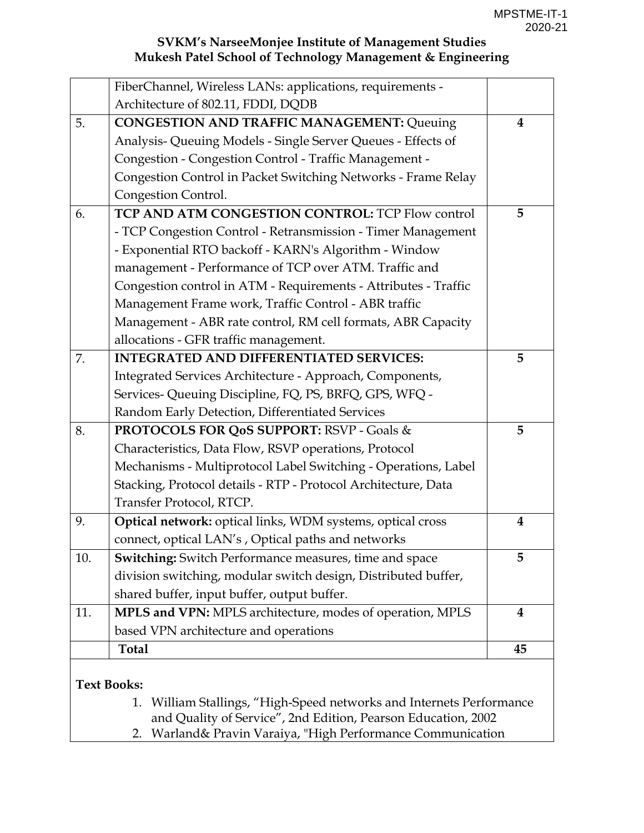|     | FiberChannel, Wireless LANs: applications, requirements -               |          |
|-----|-------------------------------------------------------------------------|----------|
|     | Architecture of 802.11, FDDI, DQDB                                      |          |
| 5.  | <b>CONGESTION AND TRAFFIC MANAGEMENT: Queuing</b>                       | 4        |
|     | Analysis- Queuing Models - Single Server Queues - Effects of            |          |
|     | Congestion - Congestion Control - Traffic Management -                  |          |
|     | Congestion Control in Packet Switching Networks - Frame Relay           |          |
|     | Congestion Control.                                                     |          |
| 6.  | TCP AND ATM CONGESTION CONTROL: TCP Flow control                        | 5        |
|     | - TCP Congestion Control - Retransmission - Timer Management            |          |
|     | - Exponential RTO backoff - KARN's Algorithm - Window                   |          |
|     | management - Performance of TCP over ATM. Traffic and                   |          |
|     | Congestion control in ATM - Requirements - Attributes - Traffic         |          |
|     | Management Frame work, Traffic Control - ABR traffic                    |          |
|     | Management - ABR rate control, RM cell formats, ABR Capacity            |          |
|     | allocations - GFR traffic management.                                   |          |
| 7.  | <b>INTEGRATED AND DIFFERENTIATED SERVICES:</b>                          | 5        |
|     | Integrated Services Architecture - Approach, Components,                |          |
|     | Services- Queuing Discipline, FQ, PS, BRFQ, GPS, WFQ -                  |          |
|     | Random Early Detection, Differentiated Services                         |          |
| 8.  | PROTOCOLS FOR QoS SUPPORT: RSVP - Goals &                               | 5        |
|     | Characteristics, Data Flow, RSVP operations, Protocol                   |          |
|     | Mechanisms - Multiprotocol Label Switching - Operations, Label          |          |
|     | Stacking, Protocol details - RTP - Protocol Architecture, Data          |          |
|     | Transfer Protocol, RTCP.                                                |          |
| 9.  | Optical network: optical links, WDM systems, optical cross              | 4        |
|     | connect, optical LAN's, Optical paths and networks                      |          |
| 10. | <b>Switching:</b> Switch Performance measures, time and space           | 5        |
|     | division switching, modular switch design, Distributed buffer,          |          |
|     | shared buffer, input buffer, output buffer.                             |          |
| 11. | MPLS and VPN: MPLS architecture, modes of operation, MPLS               | $\bf{4}$ |
|     | based VPN architecture and operations                                   |          |
|     | <b>Total</b>                                                            | 45       |
|     | <b>Text Books:</b>                                                      |          |
|     | William Stallings, "High-Speed networks and Internets Performance<br>1. |          |
|     |                                                                         |          |

and Quality of Service", 2nd Edition, Pearson Education, 2002

2. Warland& Pravin Varaiya, "High Performance Communication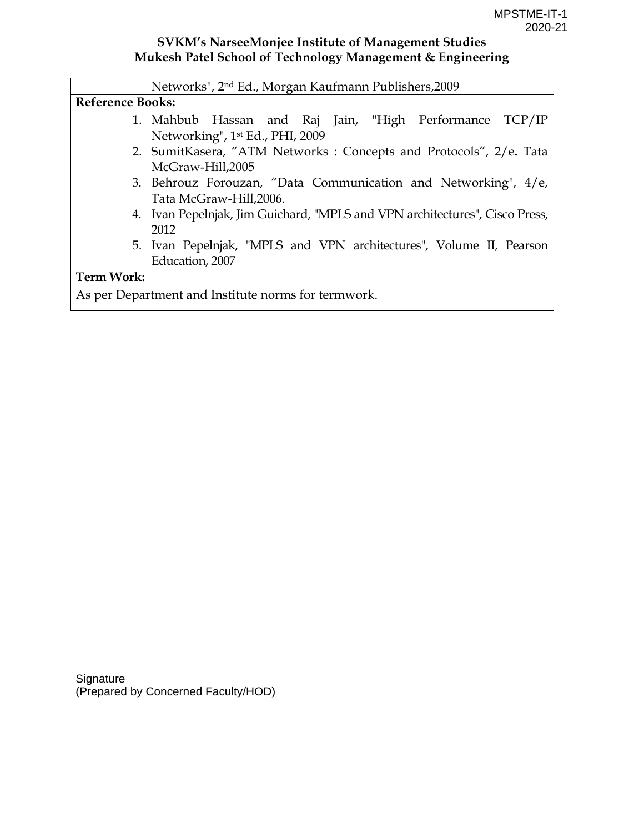|                   | Networks", 2 <sup>nd</sup> Ed., Morgan Kaufmann Publishers, 2009            |  |  |  |  |  |  |
|-------------------|-----------------------------------------------------------------------------|--|--|--|--|--|--|
|                   | <b>Reference Books:</b>                                                     |  |  |  |  |  |  |
|                   | 1. Mahbub Hassan and Raj Jain, "High Performance TCP/IP                     |  |  |  |  |  |  |
|                   | Networking", 1st Ed., PHI, 2009                                             |  |  |  |  |  |  |
|                   | 2. SumitKasera, "ATM Networks: Concepts and Protocols", 2/e. Tata           |  |  |  |  |  |  |
|                   | McGraw-Hill,2005                                                            |  |  |  |  |  |  |
|                   | 3. Behrouz Forouzan, "Data Communication and Networking", 4/e,              |  |  |  |  |  |  |
|                   | Tata McGraw-Hill, 2006.                                                     |  |  |  |  |  |  |
|                   | 4. Ivan Pepelnjak, Jim Guichard, "MPLS and VPN architectures", Cisco Press, |  |  |  |  |  |  |
|                   | 2012                                                                        |  |  |  |  |  |  |
|                   | 5. Ivan Pepelnjak, "MPLS and VPN architectures", Volume II, Pearson         |  |  |  |  |  |  |
|                   | Education, 2007                                                             |  |  |  |  |  |  |
| <b>Term Work:</b> |                                                                             |  |  |  |  |  |  |
|                   | As per Department and Institute norms for termwork.                         |  |  |  |  |  |  |

**Signature** (Prepared by Concerned Faculty/HOD)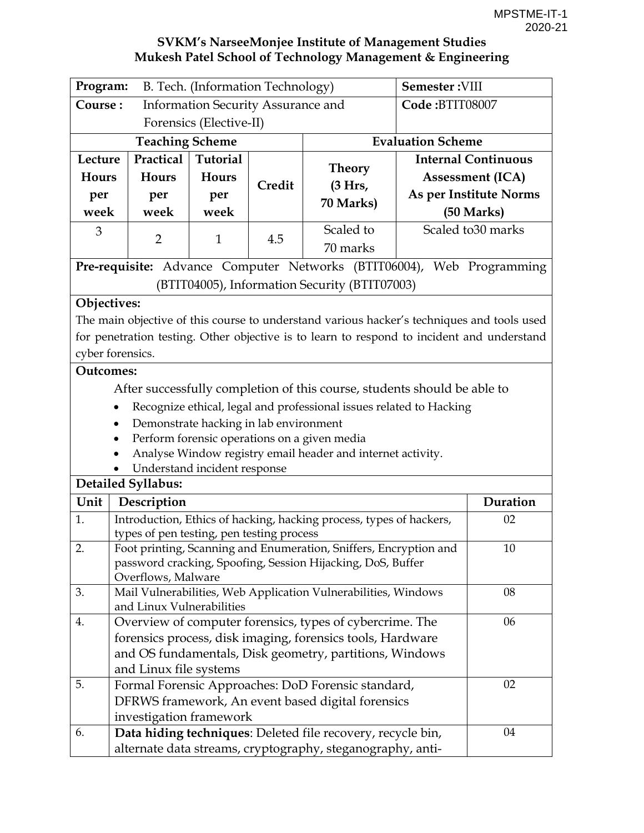|                  | Program:<br>B. Tech. (Information Technology)        |                                        |        |                                                                                            | Semester: VIII           |                            |
|------------------|------------------------------------------------------|----------------------------------------|--------|--------------------------------------------------------------------------------------------|--------------------------|----------------------------|
|                  | Course:<br><b>Information Security Assurance and</b> |                                        |        | Code:BTIT08007                                                                             |                          |                            |
|                  |                                                      | Forensics (Elective-II)                |        |                                                                                            |                          |                            |
|                  | <b>Teaching Scheme</b>                               |                                        |        |                                                                                            | <b>Evaluation Scheme</b> |                            |
| Lecture          | Practical                                            | <b>Tutorial</b>                        |        |                                                                                            |                          | <b>Internal Continuous</b> |
| Hours            | Hours                                                | Hours                                  |        | Theory                                                                                     |                          | <b>Assessment (ICA)</b>    |
| per              | per                                                  | per                                    | Credit | (3 Hrs,                                                                                    |                          | As per Institute Norms     |
| week             | week                                                 | week                                   |        | 70 Marks)                                                                                  |                          | (50 Marks)                 |
| 3                | $\overline{2}$                                       | 1                                      | 4.5    | Scaled to                                                                                  |                          | Scaled to 30 marks         |
|                  |                                                      |                                        |        | 70 marks                                                                                   |                          |                            |
|                  |                                                      |                                        |        | Pre-requisite: Advance Computer Networks (BTIT06004), Web Programming                      |                          |                            |
|                  |                                                      |                                        |        | (BTIT04005), Information Security (BTIT07003)                                              |                          |                            |
| Objectives:      |                                                      |                                        |        |                                                                                            |                          |                            |
|                  |                                                      |                                        |        | The main objective of this course to understand various hacker's techniques and tools used |                          |                            |
|                  |                                                      |                                        |        | for penetration testing. Other objective is to learn to respond to incident and understand |                          |                            |
|                  | cyber forensics.                                     |                                        |        |                                                                                            |                          |                            |
| <b>Outcomes:</b> |                                                      |                                        |        |                                                                                            |                          |                            |
|                  |                                                      |                                        |        | After successfully completion of this course, students should be able to                   |                          |                            |
|                  |                                                      |                                        |        | Recognize ethical, legal and professional issues related to Hacking                        |                          |                            |
|                  |                                                      | Demonstrate hacking in lab environment |        |                                                                                            |                          |                            |
|                  |                                                      |                                        |        | Perform forensic operations on a given media                                               |                          |                            |
|                  |                                                      |                                        |        | Analyse Window registry email header and internet activity.                                |                          |                            |
|                  |                                                      | Understand incident response           |        |                                                                                            |                          |                            |
|                  | <b>Detailed Syllabus:</b>                            |                                        |        |                                                                                            |                          |                            |
| Unit             | Description                                          |                                        |        |                                                                                            |                          | Duration                   |
| 1.               | types of pen testing, pen testing process            |                                        |        | Introduction, Ethics of hacking, hacking process, types of hackers,                        |                          | 02                         |
| 2.               |                                                      |                                        |        | Foot printing, Scanning and Enumeration, Sniffers, Encryption and                          |                          | 10                         |
|                  |                                                      |                                        |        | password cracking, Spoofing, Session Hijacking, DoS, Buffer                                |                          |                            |
|                  | Overflows, Malware                                   |                                        |        |                                                                                            |                          | 08                         |
| 3.               | and Linux Vulnerabilities                            |                                        |        | Mail Vulnerabilities, Web Application Vulnerabilities, Windows                             |                          |                            |
| 4.               |                                                      |                                        |        | Overview of computer forensics, types of cybercrime. The                                   |                          | 06                         |
|                  |                                                      |                                        |        | forensics process, disk imaging, forensics tools, Hardware                                 |                          |                            |
|                  |                                                      |                                        |        | and OS fundamentals, Disk geometry, partitions, Windows                                    |                          |                            |
|                  | and Linux file systems                               |                                        |        |                                                                                            |                          |                            |
| 5.               |                                                      |                                        |        | Formal Forensic Approaches: DoD Forensic standard,                                         |                          | 02                         |
|                  |                                                      |                                        |        | DFRWS framework, An event based digital forensics                                          |                          |                            |
|                  | investigation framework                              |                                        |        |                                                                                            |                          |                            |
| 6.               |                                                      |                                        |        | Data hiding techniques: Deleted file recovery, recycle bin,                                |                          | 04                         |
|                  |                                                      |                                        |        | alternate data streams, cryptography, steganography, anti-                                 |                          |                            |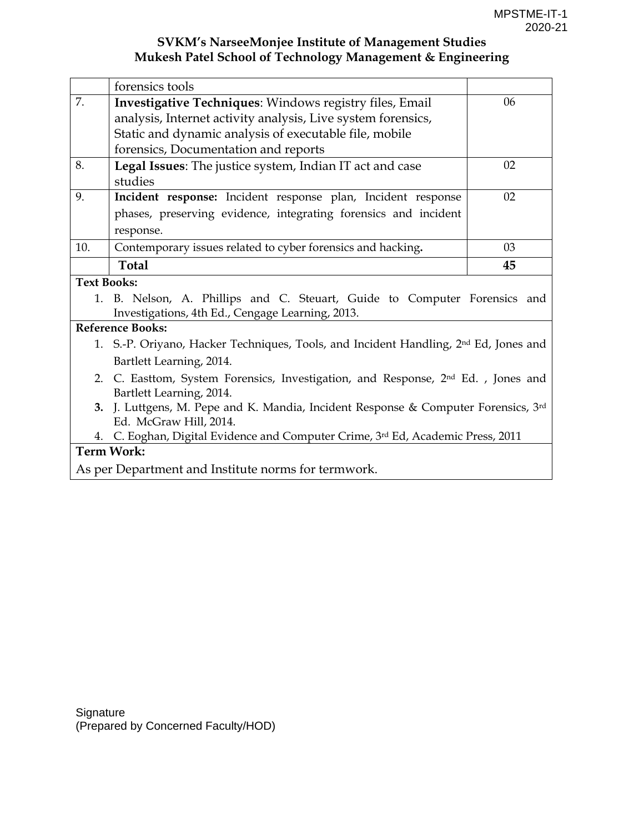|                    | forensics tools                                                                                                               |    |
|--------------------|-------------------------------------------------------------------------------------------------------------------------------|----|
| 7.                 | <b>Investigative Techniques: Windows registry files, Email</b>                                                                | 06 |
|                    | analysis, Internet activity analysis, Live system forensics,                                                                  |    |
|                    | Static and dynamic analysis of executable file, mobile                                                                        |    |
|                    | forensics, Documentation and reports                                                                                          |    |
| 8.                 | Legal Issues: The justice system, Indian IT act and case                                                                      | 02 |
|                    | studies                                                                                                                       |    |
| 9.                 | Incident response: Incident response plan, Incident response                                                                  | 02 |
|                    | phases, preserving evidence, integrating forensics and incident                                                               |    |
|                    | response.                                                                                                                     |    |
| 10.                | Contemporary issues related to cyber forensics and hacking.                                                                   | 03 |
|                    | <b>Total</b>                                                                                                                  | 45 |
| <b>Text Books:</b> |                                                                                                                               |    |
|                    | 1. B. Nelson, A. Phillips and C. Steuart, Guide to Computer Forensics and<br>Investigations, 4th Ed., Cengage Learning, 2013. |    |
|                    | <b>Reference Books:</b>                                                                                                       |    |
|                    | 1. S.-P. Oriyano, Hacker Techniques, Tools, and Incident Handling, 2 <sup>nd</sup> Ed, Jones and                              |    |
|                    | Bartlett Learning, 2014.                                                                                                      |    |
|                    | 2. C. Easttom, System Forensics, Investigation, and Response, 2 <sup>nd</sup> Ed., Jones and<br>Bartlett Learning, 2014.      |    |
| 3.                 | J. Luttgens, M. Pepe and K. Mandia, Incident Response & Computer Forensics, 3rd<br>Ed. McGraw Hill, 2014.                     |    |
| 4.                 | C. Eoghan, Digital Evidence and Computer Crime, 3rd Ed, Academic Press, 2011                                                  |    |
|                    | <b>Term Work:</b>                                                                                                             |    |

As per Department and Institute norms for termwork.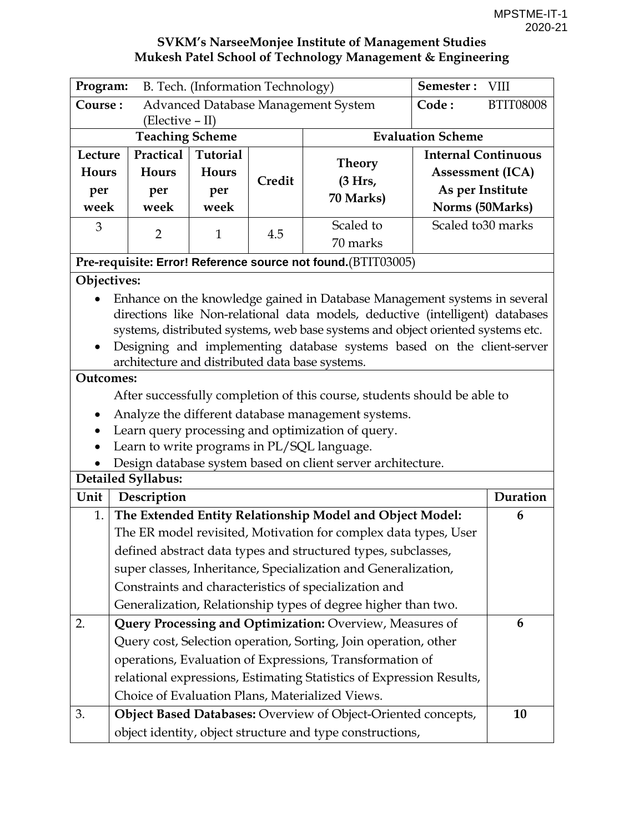| Program:<br>B. Tech. (Information Technology)             |                                                 |                 |        |                                                                                                            | Semester:                  | <b>VIII</b> |  |
|-----------------------------------------------------------|-------------------------------------------------|-----------------|--------|------------------------------------------------------------------------------------------------------------|----------------------------|-------------|--|
| Course:<br>Advanced Database Management System            |                                                 |                 |        | Code:                                                                                                      | <b>BTIT08008</b>           |             |  |
|                                                           | (Elective – II)                                 |                 |        |                                                                                                            |                            |             |  |
|                                                           | <b>Teaching Scheme</b>                          |                 |        |                                                                                                            | <b>Evaluation Scheme</b>   |             |  |
| Lecture                                                   | Practical                                       | <b>Tutorial</b> |        | <b>Theory</b>                                                                                              | <b>Internal Continuous</b> |             |  |
| Hours                                                     | Hours                                           | Hours           | Credit | (3 Hrs,                                                                                                    | <b>Assessment (ICA)</b>    |             |  |
| per                                                       | per                                             | per             |        | 70 Marks)                                                                                                  | As per Institute           |             |  |
| week                                                      | week                                            | week            |        |                                                                                                            | Norms (50Marks)            |             |  |
| 3                                                         | $\overline{2}$                                  | $\mathbf{1}$    | 4.5    | Scaled to                                                                                                  | Scaled to 30 marks         |             |  |
|                                                           |                                                 |                 |        | 70 marks                                                                                                   |                            |             |  |
|                                                           |                                                 |                 |        | Pre-requisite: Error! Reference source not found.(BTIT03005)                                               |                            |             |  |
| Objectives:                                               |                                                 |                 |        |                                                                                                            |                            |             |  |
|                                                           |                                                 |                 |        | Enhance on the knowledge gained in Database Management systems in several                                  |                            |             |  |
|                                                           |                                                 |                 |        | directions like Non-relational data models, deductive (intelligent) databases                              |                            |             |  |
|                                                           |                                                 |                 |        | systems, distributed systems, web base systems and object oriented systems etc.                            |                            |             |  |
| $\bullet$                                                 |                                                 |                 |        | Designing and implementing database systems based on the client-server                                     |                            |             |  |
|                                                           | architecture and distributed data base systems. |                 |        |                                                                                                            |                            |             |  |
| <b>Outcomes:</b>                                          |                                                 |                 |        |                                                                                                            |                            |             |  |
|                                                           |                                                 |                 |        | After successfully completion of this course, students should be able to                                   |                            |             |  |
|                                                           |                                                 |                 |        | Analyze the different database management systems.                                                         |                            |             |  |
|                                                           |                                                 |                 |        | Learn query processing and optimization of query.                                                          |                            |             |  |
|                                                           |                                                 |                 |        | Learn to write programs in PL/SQL language.<br>Design database system based on client server architecture. |                            |             |  |
|                                                           | <b>Detailed Syllabus:</b>                       |                 |        |                                                                                                            |                            |             |  |
| Unit                                                      | Description                                     |                 |        |                                                                                                            |                            | Duration    |  |
| 1.                                                        |                                                 |                 |        | The Extended Entity Relationship Model and Object Model:                                                   |                            | 6           |  |
|                                                           |                                                 |                 |        | The ER model revisited, Motivation for complex data types, User                                            |                            |             |  |
|                                                           |                                                 |                 |        | defined abstract data types and structured types, subclasses,                                              |                            |             |  |
|                                                           |                                                 |                 |        | super classes, Inheritance, Specialization and Generalization,                                             |                            |             |  |
|                                                           |                                                 |                 |        | Constraints and characteristics of specialization and                                                      |                            |             |  |
|                                                           |                                                 |                 |        | Generalization, Relationship types of degree higher than two.                                              |                            |             |  |
| 2.                                                        |                                                 |                 |        | Query Processing and Optimization: Overview, Measures of                                                   |                            | 6           |  |
|                                                           |                                                 |                 |        | Query cost, Selection operation, Sorting, Join operation, other                                            |                            |             |  |
|                                                           |                                                 |                 |        | operations, Evaluation of Expressions, Transformation of                                                   |                            |             |  |
|                                                           |                                                 |                 |        | relational expressions, Estimating Statistics of Expression Results,                                       |                            |             |  |
|                                                           |                                                 |                 |        | Choice of Evaluation Plans, Materialized Views.                                                            |                            |             |  |
| 3.                                                        |                                                 |                 |        | Object Based Databases: Overview of Object-Oriented concepts,                                              |                            | 10          |  |
| object identity, object structure and type constructions, |                                                 |                 |        |                                                                                                            |                            |             |  |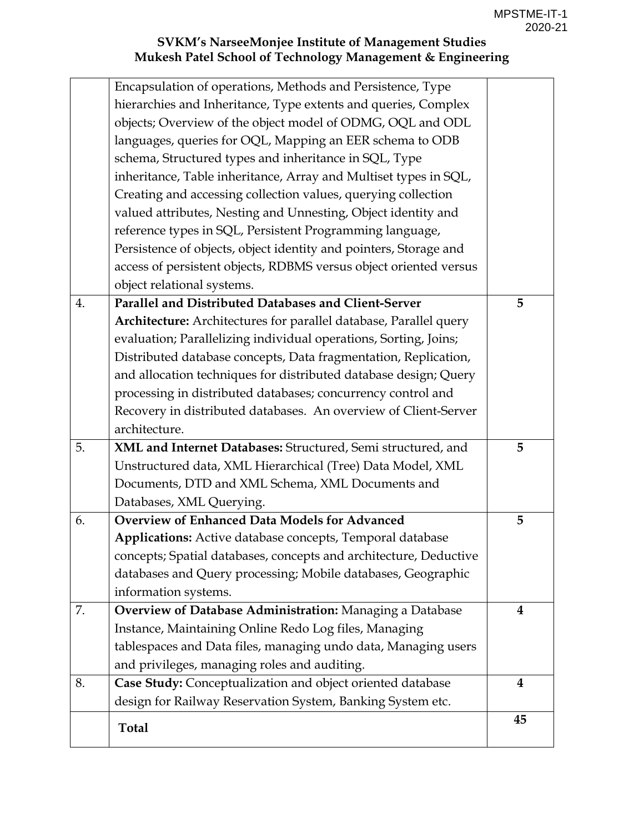|    | Encapsulation of operations, Methods and Persistence, Type        |                         |
|----|-------------------------------------------------------------------|-------------------------|
|    | hierarchies and Inheritance, Type extents and queries, Complex    |                         |
|    | objects; Overview of the object model of ODMG, OQL and ODL        |                         |
|    | languages, queries for OQL, Mapping an EER schema to ODB          |                         |
|    | schema, Structured types and inheritance in SQL, Type             |                         |
|    | inheritance, Table inheritance, Array and Multiset types in SQL,  |                         |
|    | Creating and accessing collection values, querying collection     |                         |
|    | valued attributes, Nesting and Unnesting, Object identity and     |                         |
|    | reference types in SQL, Persistent Programming language,          |                         |
|    | Persistence of objects, object identity and pointers, Storage and |                         |
|    | access of persistent objects, RDBMS versus object oriented versus |                         |
|    | object relational systems.                                        |                         |
| 4. | Parallel and Distributed Databases and Client-Server              | 5                       |
|    | Architecture: Architectures for parallel database, Parallel query |                         |
|    | evaluation; Parallelizing individual operations, Sorting, Joins;  |                         |
|    | Distributed database concepts, Data fragmentation, Replication,   |                         |
|    | and allocation techniques for distributed database design; Query  |                         |
|    | processing in distributed databases; concurrency control and      |                         |
|    | Recovery in distributed databases. An overview of Client-Server   |                         |
|    | architecture.                                                     |                         |
| 5. | XML and Internet Databases: Structured, Semi structured, and      | 5                       |
|    | Unstructured data, XML Hierarchical (Tree) Data Model, XML        |                         |
|    | Documents, DTD and XML Schema, XML Documents and                  |                         |
|    | Databases, XML Querying.                                          |                         |
| 6. | <b>Overview of Enhanced Data Models for Advanced</b>              | 5                       |
|    | Applications: Active database concepts, Temporal database         |                         |
|    | concepts; Spatial databases, concepts and architecture, Deductive |                         |
|    | databases and Query processing; Mobile databases, Geographic      |                         |
|    | information systems.                                              |                         |
| 7. | Overview of Database Administration: Managing a Database          | 4                       |
|    | Instance, Maintaining Online Redo Log files, Managing             |                         |
|    | tablespaces and Data files, managing undo data, Managing users    |                         |
|    | and privileges, managing roles and auditing.                      |                         |
| 8. | Case Study: Conceptualization and object oriented database        | $\overline{\mathbf{4}}$ |
|    | design for Railway Reservation System, Banking System etc.        |                         |
|    | <b>Total</b>                                                      | 45                      |
|    |                                                                   |                         |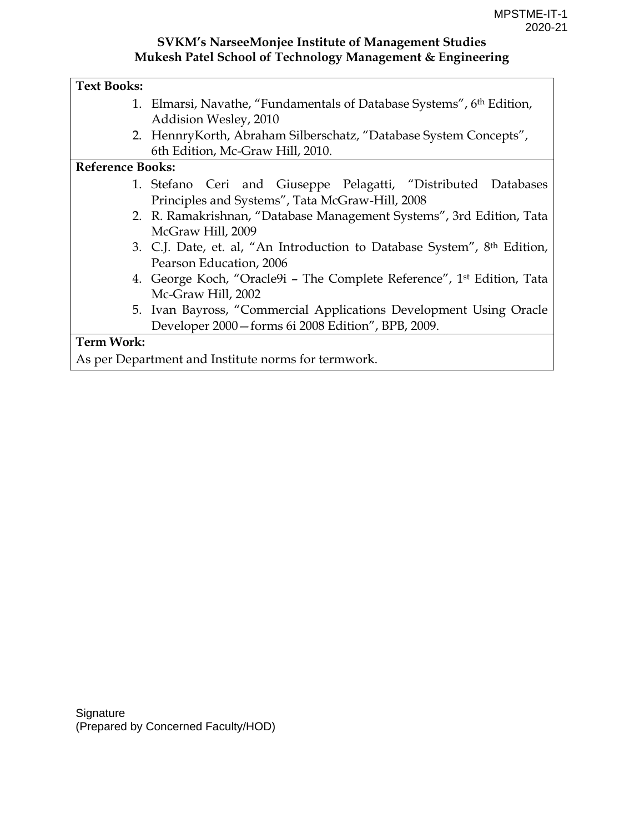#### **Text Books:**

- 1. Elmarsi, Navathe, "Fundamentals of Database Systems", 6th Edition, Addision Wesley, 2010
- 2. HennryKorth, Abraham Silberschatz, "Database System Concepts", 6th Edition, Mc-Graw Hill, 2010.

#### **Reference Books:**

- 1. Stefano Ceri and Giuseppe Pelagatti, "Distributed Databases Principles and Systems", Tata McGraw-Hill, 2008
- 2. R. Ramakrishnan, "Database Management Systems", 3rd Edition, Tata McGraw Hill, 2009
- 3. C.J. Date, et. al, "An Introduction to Database System", 8th Edition, Pearson Education, 2006
- 4. George Koch, "Oracle9i The Complete Reference", 1st Edition, Tata Mc-Graw Hill, 2002
- 5. Ivan Bayross, "Commercial Applications Development Using Oracle Developer 2000—forms 6i 2008 Edition", BPB, 2009.

#### **Term Work:**

As per Department and Institute norms for termwork.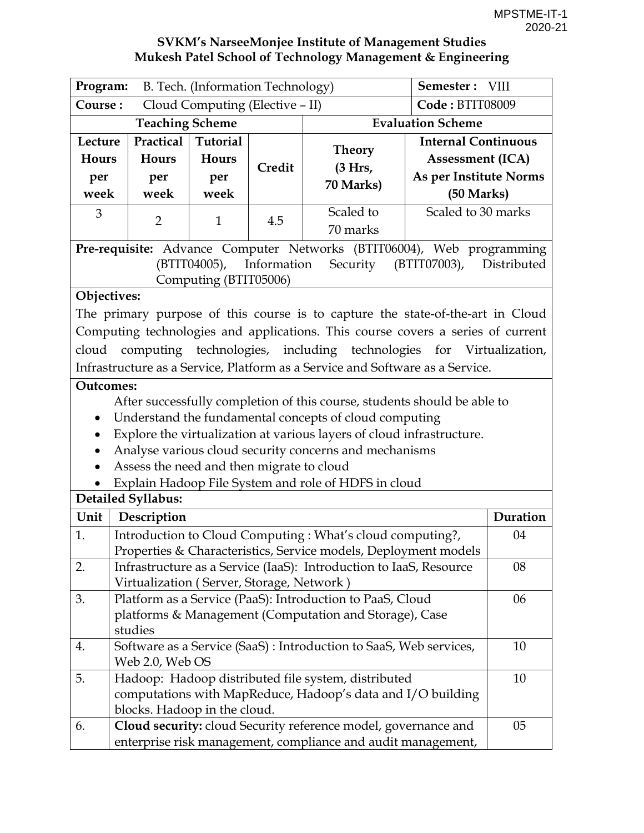| Program:<br>B. Tech. (Information Technology) |                                                              |                                         |             | Semester: VIII                                                                    |                                                                                               |             |
|-----------------------------------------------|--------------------------------------------------------------|-----------------------------------------|-------------|-----------------------------------------------------------------------------------|-----------------------------------------------------------------------------------------------|-------------|
| Course:<br>Cloud Computing (Elective - II)    |                                                              |                                         |             | Code: BTIT08009                                                                   |                                                                                               |             |
| <b>Teaching Scheme</b>                        |                                                              |                                         |             | <b>Evaluation Scheme</b>                                                          |                                                                                               |             |
| Lecture<br>Hours<br>per<br>week               | Practical<br>Hours<br>per<br>week                            | <b>Tutorial</b><br>Hours<br>per<br>week | Credit      | <b>Theory</b><br>(3 Hrs,<br>70 Marks)                                             | <b>Internal Continuous</b><br><b>Assessment (ICA)</b><br>As per Institute Norms<br>(50 Marks) |             |
| 3                                             |                                                              |                                         |             | Scaled to                                                                         | Scaled to 30 marks                                                                            |             |
|                                               | $\overline{2}$                                               | $\mathbf{1}$                            | 4.5         | 70 marks                                                                          |                                                                                               |             |
|                                               |                                                              | (BTIT04005),<br>Computing (BTIT05006)   | Information | Pre-requisite: Advance Computer Networks (BTIT06004), Web programming<br>Security | (BTIT07003),                                                                                  | Distributed |
| Objectives:                                   |                                                              |                                         |             |                                                                                   |                                                                                               |             |
|                                               |                                                              |                                         |             | The primary purpose of this course is to capture the state-of-the-art in Cloud    |                                                                                               |             |
|                                               |                                                              |                                         |             | Computing technologies and applications. This course covers a series of current   |                                                                                               |             |
|                                               |                                                              |                                         |             | cloud computing technologies, including technologies for Virtualization,          |                                                                                               |             |
|                                               |                                                              |                                         |             | Infrastructure as a Service, Platform as a Service and Software as a Service.     |                                                                                               |             |
| <b>Outcomes:</b>                              |                                                              |                                         |             |                                                                                   |                                                                                               |             |
|                                               |                                                              |                                         |             | After successfully completion of this course, students should be able to          |                                                                                               |             |
| $\bullet$                                     |                                                              |                                         |             | Understand the fundamental concepts of cloud computing                            |                                                                                               |             |
| $\bullet$                                     |                                                              |                                         |             | Explore the virtualization at various layers of cloud infrastructure.             |                                                                                               |             |
|                                               | Assess the need and then migrate to cloud                    |                                         |             | Analyse various cloud security concerns and mechanisms                            |                                                                                               |             |
|                                               |                                                              |                                         |             | Explain Hadoop File System and role of HDFS in cloud                              |                                                                                               |             |
|                                               | Detailed Syllabus:                                           |                                         |             |                                                                                   |                                                                                               |             |
| Unit                                          | Description                                                  |                                         |             |                                                                                   |                                                                                               | Duration    |
| 1.                                            |                                                              |                                         |             | Introduction to Cloud Computing: What's cloud computing?,                         |                                                                                               | 04          |
|                                               |                                                              |                                         |             | Properties & Characteristics, Service models, Deployment models                   |                                                                                               |             |
| 2.                                            |                                                              |                                         |             | Infrastructure as a Service (IaaS): Introduction to IaaS, Resource                |                                                                                               | 08          |
|                                               | Virtualization (Server, Storage, Network)                    |                                         |             |                                                                                   |                                                                                               |             |
| 3.                                            |                                                              |                                         |             | Platform as a Service (PaaS): Introduction to PaaS, Cloud                         |                                                                                               | 06          |
|                                               |                                                              |                                         |             | platforms & Management (Computation and Storage), Case                            |                                                                                               |             |
|                                               | studies                                                      |                                         |             |                                                                                   |                                                                                               |             |
| 4.                                            | Web 2.0, Web OS                                              |                                         |             | Software as a Service (SaaS): Introduction to SaaS, Web services,                 |                                                                                               | 10          |
| 5.                                            |                                                              |                                         |             | Hadoop: Hadoop distributed file system, distributed                               |                                                                                               | 10          |
|                                               |                                                              |                                         |             | computations with MapReduce, Hadoop's data and I/O building                       |                                                                                               |             |
|                                               | blocks. Hadoop in the cloud.                                 |                                         |             |                                                                                   |                                                                                               |             |
| 6.                                            |                                                              |                                         |             | Cloud security: cloud Security reference model, governance and                    |                                                                                               | 05          |
|                                               | enterprise risk management, compliance and audit management, |                                         |             |                                                                                   |                                                                                               |             |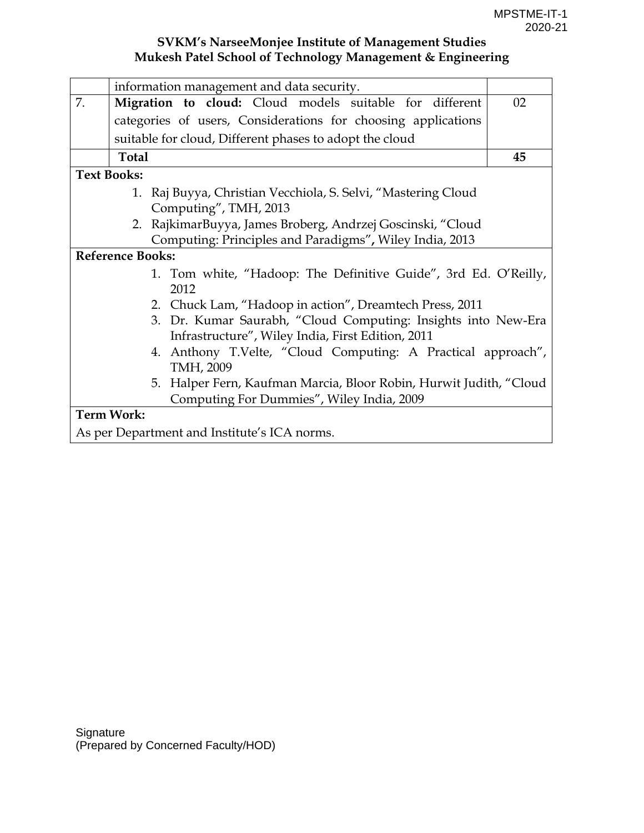|    | information management and data security.                                                                                |    |  |  |  |  |  |  |  |
|----|--------------------------------------------------------------------------------------------------------------------------|----|--|--|--|--|--|--|--|
| 7. | Migration to cloud: Cloud models suitable for different                                                                  | 02 |  |  |  |  |  |  |  |
|    | categories of users, Considerations for choosing applications                                                            |    |  |  |  |  |  |  |  |
|    | suitable for cloud, Different phases to adopt the cloud                                                                  |    |  |  |  |  |  |  |  |
|    | <b>Total</b>                                                                                                             | 45 |  |  |  |  |  |  |  |
|    | <b>Text Books:</b>                                                                                                       |    |  |  |  |  |  |  |  |
|    | 1. Raj Buyya, Christian Vecchiola, S. Selvi, "Mastering Cloud                                                            |    |  |  |  |  |  |  |  |
|    | Computing", TMH, 2013                                                                                                    |    |  |  |  |  |  |  |  |
|    | 2. RajkimarBuyya, James Broberg, Andrzej Goscinski, "Cloud                                                               |    |  |  |  |  |  |  |  |
|    | Computing: Principles and Paradigms", Wiley India, 2013                                                                  |    |  |  |  |  |  |  |  |
|    | <b>Reference Books:</b>                                                                                                  |    |  |  |  |  |  |  |  |
|    | 1. Tom white, "Hadoop: The Definitive Guide", 3rd Ed. O'Reilly,<br>2012                                                  |    |  |  |  |  |  |  |  |
|    |                                                                                                                          |    |  |  |  |  |  |  |  |
|    | 2. Chuck Lam, "Hadoop in action", Dreamtech Press, 2011<br>3. Dr. Kumar Saurabh, "Cloud Computing: Insights into New-Era |    |  |  |  |  |  |  |  |
|    | Infrastructure", Wiley India, First Edition, 2011                                                                        |    |  |  |  |  |  |  |  |
|    | 4. Anthony T.Velte, "Cloud Computing: A Practical approach",                                                             |    |  |  |  |  |  |  |  |
|    | TMH, 2009                                                                                                                |    |  |  |  |  |  |  |  |
|    | 5. Halper Fern, Kaufman Marcia, Bloor Robin, Hurwit Judith, "Cloud                                                       |    |  |  |  |  |  |  |  |
|    | Computing For Dummies", Wiley India, 2009                                                                                |    |  |  |  |  |  |  |  |
|    | <b>Term Work:</b>                                                                                                        |    |  |  |  |  |  |  |  |
|    | As per Department and Institute's ICA norms.                                                                             |    |  |  |  |  |  |  |  |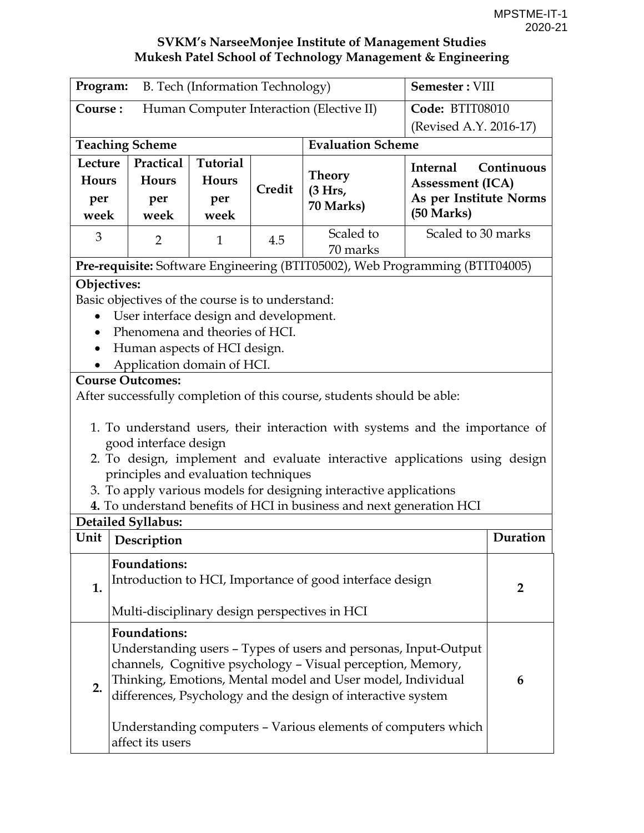| B. Tech (Information Technology)<br>Program:        |                                                            |                 |        |                                                                                                                             | Semester: VIII          |                |
|-----------------------------------------------------|------------------------------------------------------------|-----------------|--------|-----------------------------------------------------------------------------------------------------------------------------|-------------------------|----------------|
| Human Computer Interaction (Elective II)<br>Course: |                                                            |                 |        |                                                                                                                             | Code: BTIT08010         |                |
| (Revised A.Y. 2016-17)                              |                                                            |                 |        |                                                                                                                             |                         |                |
|                                                     | <b>Teaching Scheme</b>                                     |                 |        | <b>Evaluation Scheme</b>                                                                                                    |                         |                |
| Lecture                                             | Practical                                                  | <b>Tutorial</b> |        |                                                                                                                             | Internal                | Continuous     |
| <b>Hours</b>                                        | Hours                                                      | Hours           | Credit | Theory<br>(3 Hrs,                                                                                                           | <b>Assessment (ICA)</b> |                |
| per                                                 | per                                                        | per             |        | 70 Marks)                                                                                                                   | As per Institute Norms  |                |
| week                                                | week                                                       | week            |        |                                                                                                                             | (50 Marks)              |                |
| 3                                                   | $\overline{2}$                                             | $\mathbf{1}$    | 4.5    | Scaled to<br>70 marks                                                                                                       | Scaled to 30 marks      |                |
|                                                     |                                                            |                 |        | Pre-requisite: Software Engineering (BTIT05002), Web Programming (BTIT04005)                                                |                         |                |
| Objectives:                                         |                                                            |                 |        |                                                                                                                             |                         |                |
|                                                     | Basic objectives of the course is to understand:           |                 |        |                                                                                                                             |                         |                |
|                                                     | User interface design and development.                     |                 |        |                                                                                                                             |                         |                |
|                                                     | Phenomena and theories of HCI.                             |                 |        |                                                                                                                             |                         |                |
|                                                     | Human aspects of HCI design.<br>Application domain of HCI. |                 |        |                                                                                                                             |                         |                |
|                                                     | <b>Course Outcomes:</b>                                    |                 |        |                                                                                                                             |                         |                |
|                                                     |                                                            |                 |        | After successfully completion of this course, students should be able:                                                      |                         |                |
|                                                     |                                                            |                 |        |                                                                                                                             |                         |                |
|                                                     |                                                            |                 |        | 1. To understand users, their interaction with systems and the importance of                                                |                         |                |
|                                                     | good interface design                                      |                 |        |                                                                                                                             |                         |                |
|                                                     |                                                            |                 |        | 2. To design, implement and evaluate interactive applications using design                                                  |                         |                |
|                                                     | principles and evaluation techniques                       |                 |        | 3. To apply various models for designing interactive applications                                                           |                         |                |
|                                                     |                                                            |                 |        | 4. To understand benefits of HCI in business and next generation HCI                                                        |                         |                |
|                                                     | Detailed Syllabus:                                         |                 |        |                                                                                                                             |                         |                |
| Unit                                                | Description                                                |                 |        |                                                                                                                             |                         | Duration       |
|                                                     | <b>Foundations:</b>                                        |                 |        |                                                                                                                             |                         |                |
| 1.                                                  |                                                            |                 |        | Introduction to HCI, Importance of good interface design                                                                    |                         | $\overline{2}$ |
|                                                     |                                                            |                 |        |                                                                                                                             |                         |                |
|                                                     | Multi-disciplinary design perspectives in HCI              |                 |        |                                                                                                                             |                         |                |
|                                                     | <b>Foundations:</b>                                        |                 |        |                                                                                                                             |                         |                |
|                                                     |                                                            |                 |        | Understanding users - Types of users and personas, Input-Output                                                             |                         |                |
|                                                     |                                                            |                 |        | channels, Cognitive psychology - Visual perception, Memory,                                                                 |                         |                |
| 2.                                                  |                                                            |                 |        | Thinking, Emotions, Mental model and User model, Individual<br>differences, Psychology and the design of interactive system |                         | 6              |
|                                                     |                                                            |                 |        |                                                                                                                             |                         |                |
|                                                     |                                                            |                 |        | Understanding computers - Various elements of computers which                                                               |                         |                |
|                                                     | affect its users                                           |                 |        |                                                                                                                             |                         |                |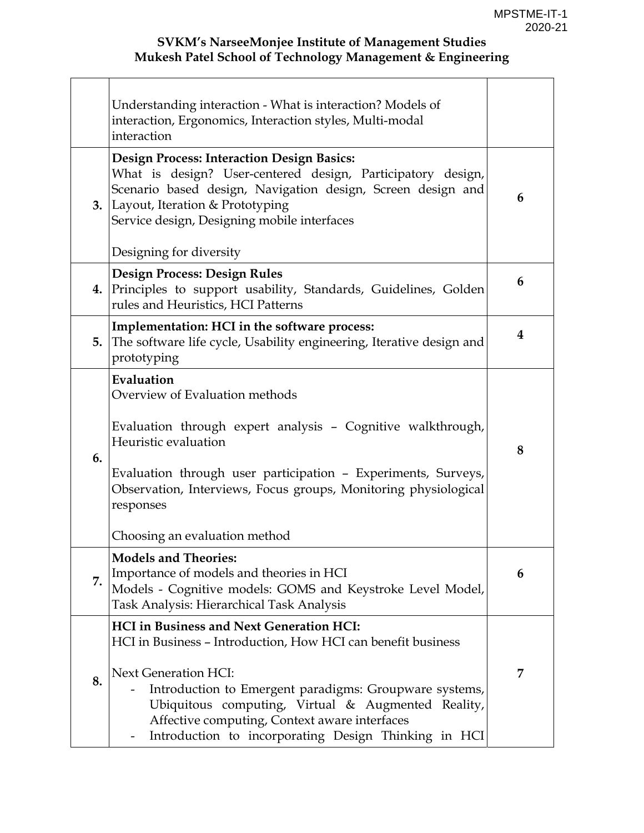|    | Understanding interaction - What is interaction? Models of<br>interaction, Ergonomics, Interaction styles, Multi-modal<br>interaction                                                                                                                                                                                                                            |   |
|----|------------------------------------------------------------------------------------------------------------------------------------------------------------------------------------------------------------------------------------------------------------------------------------------------------------------------------------------------------------------|---|
| 3. | <b>Design Process: Interaction Design Basics:</b><br>What is design? User-centered design, Participatory design,<br>Scenario based design, Navigation design, Screen design and<br>Layout, Iteration & Prototyping<br>Service design, Designing mobile interfaces<br>Designing for diversity                                                                     | 6 |
| 4. | <b>Design Process: Design Rules</b><br>Principles to support usability, Standards, Guidelines, Golden<br>rules and Heuristics, HCI Patterns                                                                                                                                                                                                                      | 6 |
| 5. | Implementation: HCI in the software process:<br>The software life cycle, Usability engineering, Iterative design and<br>prototyping                                                                                                                                                                                                                              | 4 |
| 6. | Evaluation<br>Overview of Evaluation methods<br>Evaluation through expert analysis - Cognitive walkthrough,<br>Heuristic evaluation<br>Evaluation through user participation - Experiments, Surveys,<br>Observation, Interviews, Focus groups, Monitoring physiological<br>responses<br>Choosing an evaluation method                                            | 8 |
| 7. | <b>Models and Theories:</b><br>Importance of models and theories in HCI<br>Models - Cognitive models: GOMS and Keystroke Level Model,<br>Task Analysis: Hierarchical Task Analysis                                                                                                                                                                               | 6 |
| 8. | <b>HCI</b> in Business and Next Generation HCI:<br>HCI in Business - Introduction, How HCI can benefit business<br>Next Generation HCI:<br>Introduction to Emergent paradigms: Groupware systems,<br>Ubiquitous computing, Virtual & Augmented Reality,<br>Affective computing, Context aware interfaces<br>Introduction to incorporating Design Thinking in HCI | 7 |